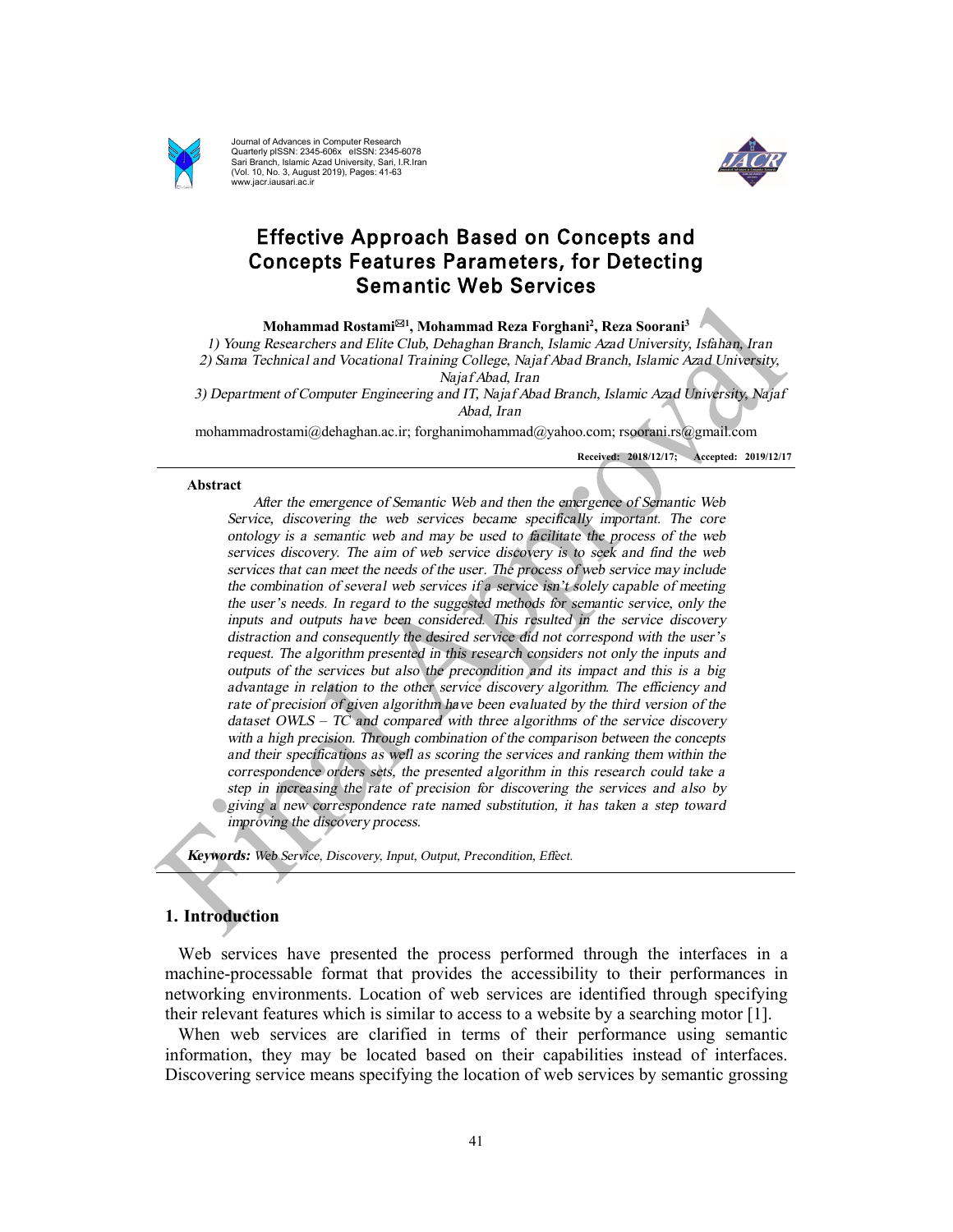

Journal of Advances in Computer Research Quarterly pISSN: 2345-606x eISSN: 2345-6078 Sari Branch, Islamic Azad University, Sari, I.R.Iran (Vol. 10, No. 3, August 2019), Pages: 41-63 www.jacr.iausari.ac.ir



# Effective Approach Based on Concepts and Concepts Features Parameters, for Detecting Semantic Web Services

**Mohammad Rostami**\***<sup>1</sup> , Mohammad Reza Forghani<sup>2</sup> , Reza Soorani<sup>3</sup>** 

*1) Young Researchers and Elite Club, Dehaghan Branch, Islamic Azad University, Isfahan, Iran 2) Sama Technical and Vocational Training College, Najaf Abad Branch, Islamic Azad University, Najaf Abad, Iran* 

*3) Department of Computer Engineering and IT, Najaf Abad Branch, Islamic Azad University, Najaf Abad, Iran* 

mohammadrostami@dehaghan.ac.ir; forghanimohammad@yahoo.com; rsoorani.rs@gmail.com

**Received: 2018/12/17; Accepted: 2019/12/17**

#### **Abstract**

*After the emergence of Semantic Web and then the emergence of Semantic Web Service, discovering the web services became specifically important. The core ontology is <sup>a</sup> semantic web and may be used to facilitate the process of the web services discovery. The aim of web service discovery is to seek and find the web services that can meet the needs of the user. The process of web service may include the combination of several web services if <sup>a</sup> service isn'<sup>t</sup> solely capable of meeting the user'<sup>s</sup> needs. In regard to the suggested methods for semantic service, only the inputs and outputs have been considered. This resulted in the service discovery distraction and consequently the desired service did not correspond with the user'<sup>s</sup> request. The algorithm presented in this research considers not only the inputs and outputs of the services but also the precondition and its impact and this is <sup>a</sup> big advantage in relation to the other service discovery algorithm. The efficiency and rate of precision of given algorithm have been evaluated by the third version of the dataset OWLS – TC and compared with three algorithms of the service discovery with <sup>a</sup> high precision. Through combination of the comparison between the concepts and their specifications as well as scoring the services and ranking them within the correspondence orders sets, the presented algorithm in this research could take <sup>a</sup> step in increasing the rate of precision for discovering the services and also by giving <sup>a</sup> new correspondence rate named substitution, it has taken <sup>a</sup> step toward improving the discovery process.* 

*Keywords: Web Service, Discovery, Input, Output, Precondition, Effect.* 

## **1. Introduction**

Web services have presented the process performed through the interfaces in a machine-processable format that provides the accessibility to their performances in networking environments. Location of web services are identified through specifying their relevant features which is similar to access to a website by a searching motor [1].

When web services are clarified in terms of their performance using semantic information, they may be located based on their capabilities instead of interfaces. Discovering service means specifying the location of web services by semantic grossing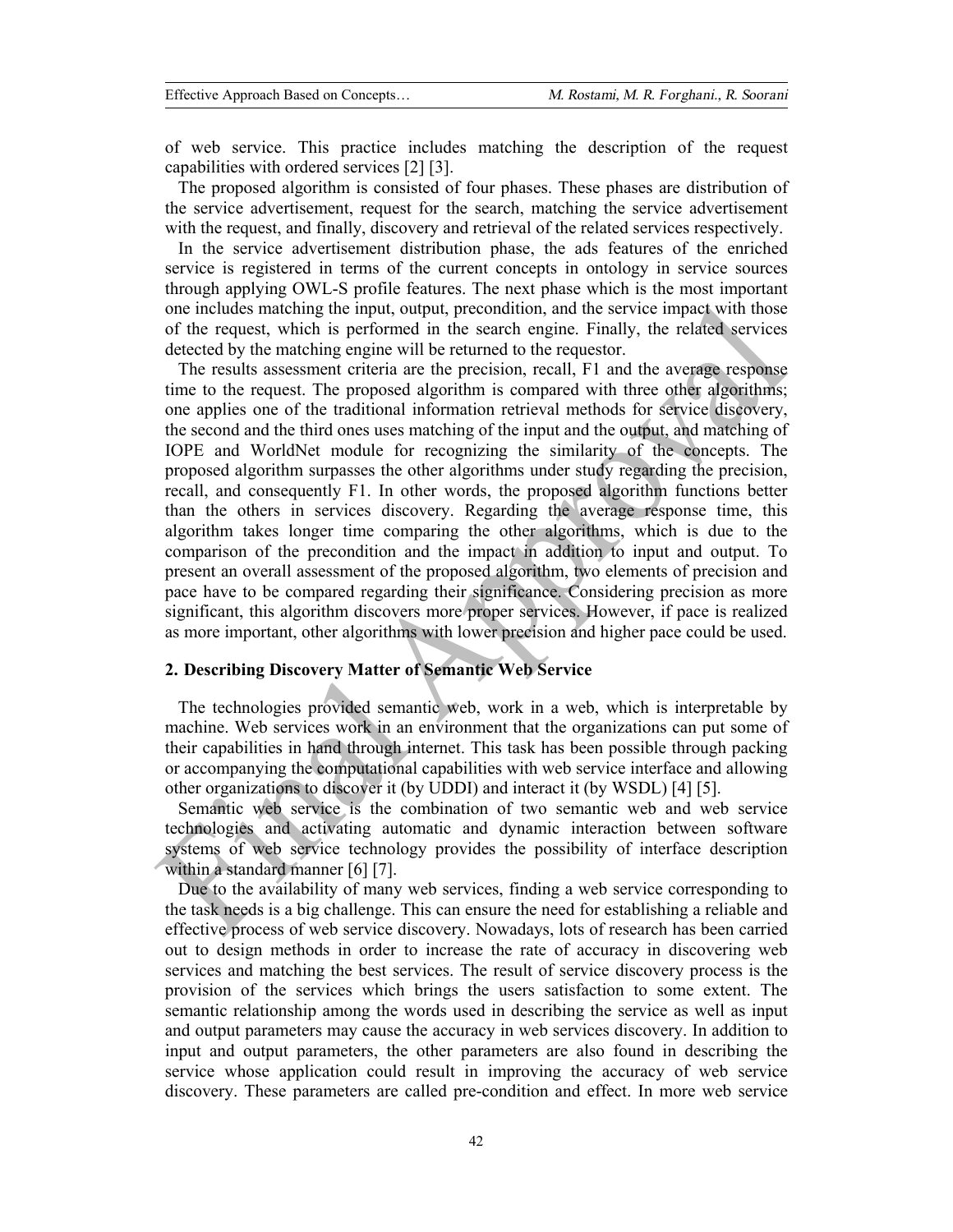of web service. This practice includes matching the description of the request capabilities with ordered services [2] [3].

The proposed algorithm is consisted of four phases. These phases are distribution of the service advertisement, request for the search, matching the service advertisement with the request, and finally, discovery and retrieval of the related services respectively.

In the service advertisement distribution phase, the ads features of the enriched service is registered in terms of the current concepts in ontology in service sources through applying OWL-S profile features. The next phase which is the most important one includes matching the input, output, precondition, and the service impact with those of the request, which is performed in the search engine. Finally, the related services detected by the matching engine will be returned to the requestor.

The results assessment criteria are the precision, recall, F1 and the average response time to the request. The proposed algorithm is compared with three other algorithms; one applies one of the traditional information retrieval methods for service discovery, the second and the third ones uses matching of the input and the output, and matching of IOPE and WorldNet module for recognizing the similarity of the concepts. The proposed algorithm surpasses the other algorithms under study regarding the precision, recall, and consequently F1. In other words, the proposed algorithm functions better than the others in services discovery. Regarding the average response time, this algorithm takes longer time comparing the other algorithms, which is due to the comparison of the precondition and the impact in addition to input and output. To present an overall assessment of the proposed algorithm, two elements of precision and pace have to be compared regarding their significance. Considering precision as more significant, this algorithm discovers more proper services. However, if pace is realized as more important, other algorithms with lower precision and higher pace could be used.

# **2. Describing Discovery Matter of Semantic Web Service**

The technologies provided semantic web, work in a web, which is interpretable by machine. Web services work in an environment that the organizations can put some of their capabilities in hand through internet. This task has been possible through packing or accompanying the computational capabilities with web service interface and allowing other organizations to discover it (by UDDI) and interact it (by WSDL) [4] [5].

Semantic web service is the combination of two semantic web and web service technologies and activating automatic and dynamic interaction between software systems of web service technology provides the possibility of interface description within a standard manner [6] [7].

Due to the availability of many web services, finding a web service corresponding to the task needs is a big challenge. This can ensure the need for establishing a reliable and effective process of web service discovery. Nowadays, lots of research has been carried out to design methods in order to increase the rate of accuracy in discovering web services and matching the best services. The result of service discovery process is the provision of the services which brings the users satisfaction to some extent. The semantic relationship among the words used in describing the service as well as input and output parameters may cause the accuracy in web services discovery. In addition to input and output parameters, the other parameters are also found in describing the service whose application could result in improving the accuracy of web service discovery. These parameters are called pre-condition and effect. In more web service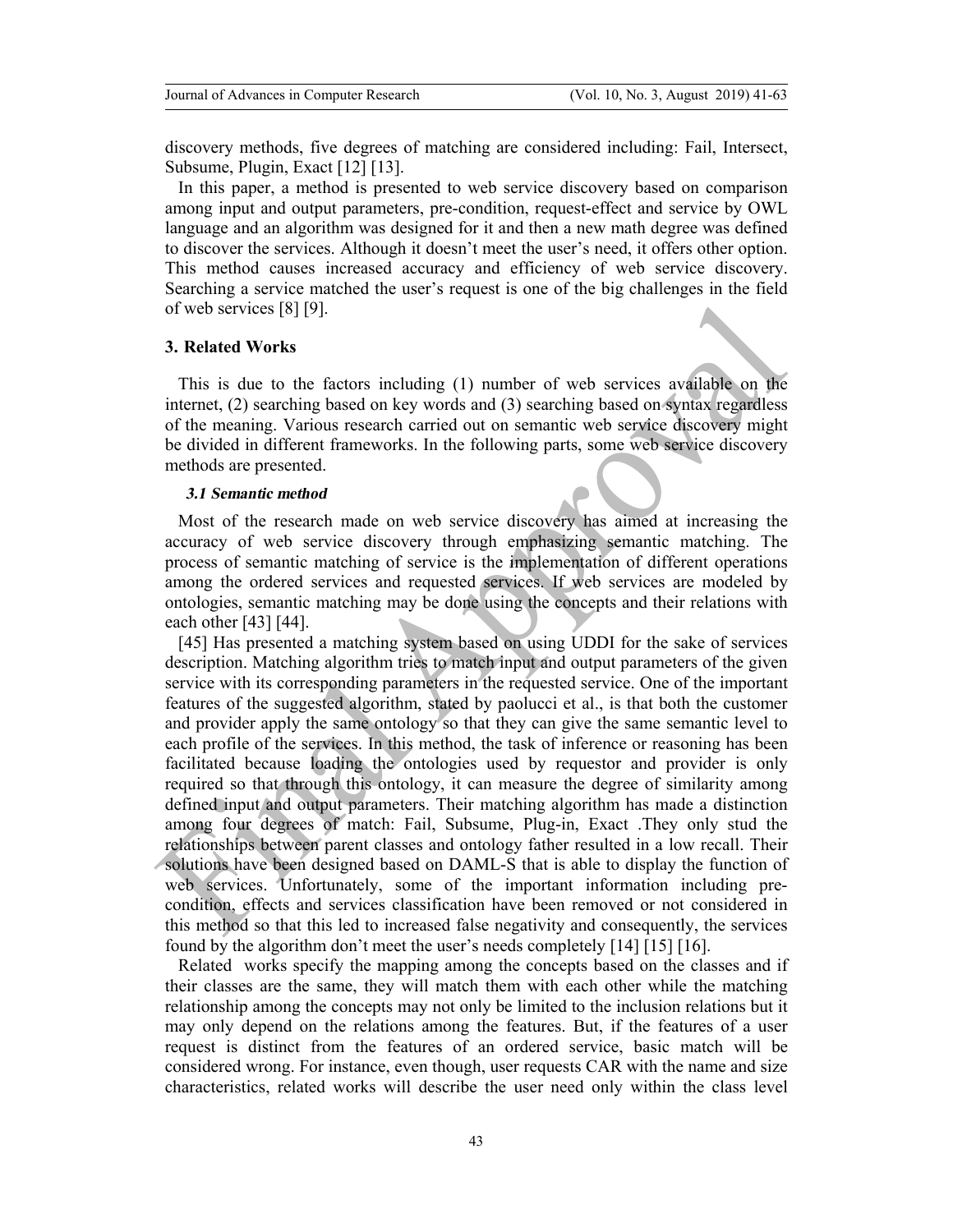discovery methods, five degrees of matching are considered including: Fail, Intersect, Subsume, Plugin, Exact [12] [13].

In this paper, a method is presented to web service discovery based on comparison among input and output parameters, pre-condition, request-effect and service by OWL language and an algorithm was designed for it and then a new math degree was defined to discover the services. Although it doesn't meet the user's need, it offers other option. This method causes increased accuracy and efficiency of web service discovery. Searching a service matched the user's request is one of the big challenges in the field of web services [8] [9].

## **3. Related Works**

This is due to the factors including (1) number of web services available on the internet, (2) searching based on key words and (3) searching based on syntax regardless of the meaning. Various research carried out on semantic web service discovery might be divided in different frameworks. In the following parts, some web service discovery methods are presented.

#### *3.1 Semantic method*

Most of the research made on web service discovery has aimed at increasing the accuracy of web service discovery through emphasizing semantic matching. The process of semantic matching of service is the implementation of different operations among the ordered services and requested services. If web services are modeled by ontologies, semantic matching may be done using the concepts and their relations with each other [43] [44].

[45] Has presented a matching system based on using UDDI for the sake of services description. Matching algorithm tries to match input and output parameters of the given service with its corresponding parameters in the requested service. One of the important features of the suggested algorithm, stated by paolucci et al., is that both the customer and provider apply the same ontology so that they can give the same semantic level to each profile of the services. In this method, the task of inference or reasoning has been facilitated because loading the ontologies used by requestor and provider is only required so that through this ontology, it can measure the degree of similarity among defined input and output parameters. Their matching algorithm has made a distinction among four degrees of match: Fail, Subsume, Plug-in, Exact .They only stud the relationships between parent classes and ontology father resulted in a low recall. Their solutions have been designed based on DAML-S that is able to display the function of web services. Unfortunately, some of the important information including precondition, effects and services classification have been removed or not considered in this method so that this led to increased false negativity and consequently, the services found by the algorithm don't meet the user's needs completely [14] [15] [16].

Related works specify the mapping among the concepts based on the classes and if their classes are the same, they will match them with each other while the matching relationship among the concepts may not only be limited to the inclusion relations but it may only depend on the relations among the features. But, if the features of a user request is distinct from the features of an ordered service, basic match will be considered wrong. For instance, even though, user requests CAR with the name and size characteristics, related works will describe the user need only within the class level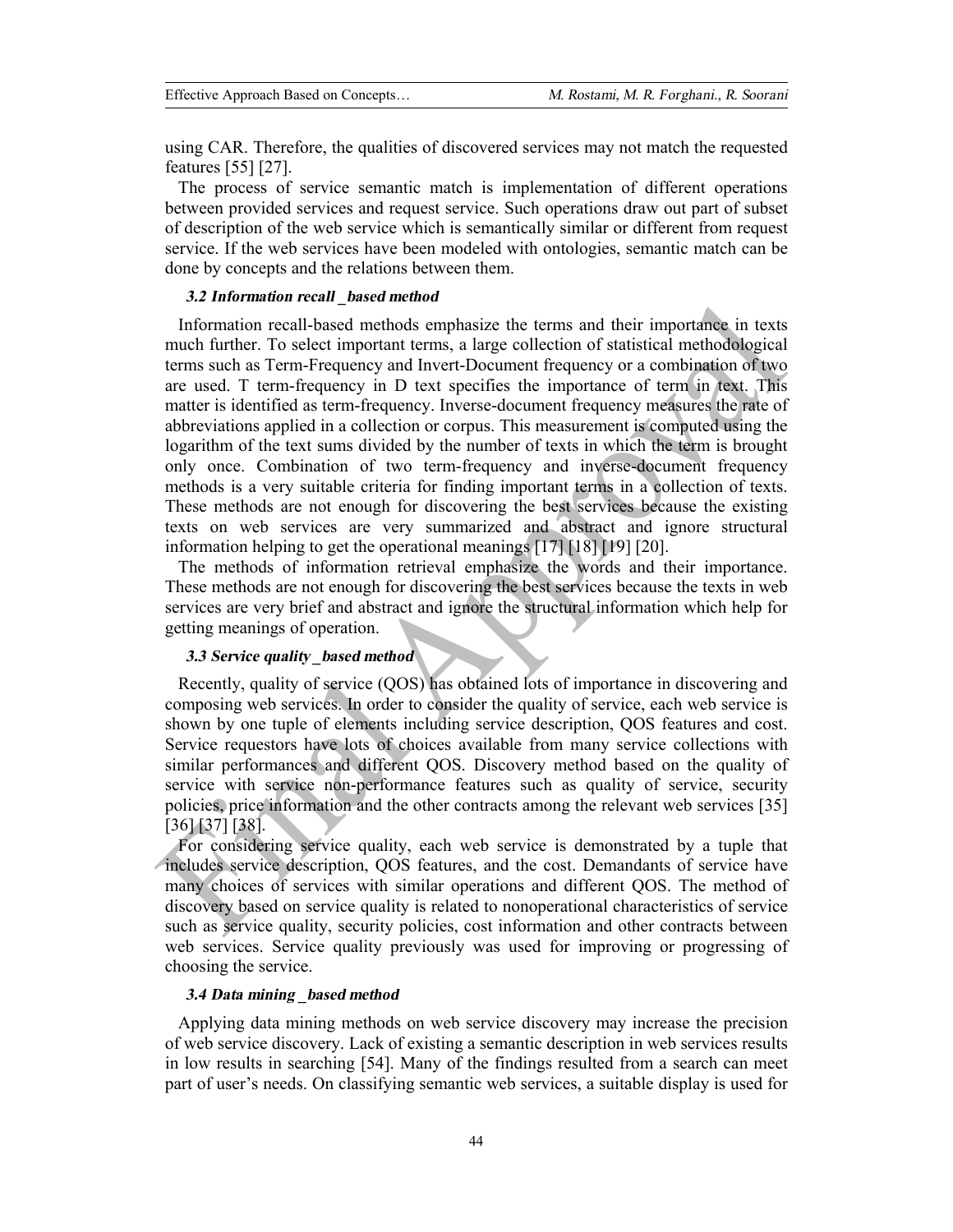using CAR. Therefore, the qualities of discovered services may not match the requested features [55] [27].

The process of service semantic match is implementation of different operations between provided services and request service. Such operations draw out part of subset of description of the web service which is semantically similar or different from request service. If the web services have been modeled with ontologies, semantic match can be done by concepts and the relations between them.

#### *3.2 Information recall \_based method*

Information recall-based methods emphasize the terms and their importance in texts much further. To select important terms, a large collection of statistical methodological terms such as Term-Frequency and Invert-Document frequency or a combination of two are used. T term-frequency in D text specifies the importance of term in text. This matter is identified as term-frequency. Inverse-document frequency measures the rate of abbreviations applied in a collection or corpus. This measurement is computed using the logarithm of the text sums divided by the number of texts in which the term is brought only once. Combination of two term-frequency and inverse-document frequency methods is a very suitable criteria for finding important terms in a collection of texts. These methods are not enough for discovering the best services because the existing texts on web services are very summarized and abstract and ignore structural information helping to get the operational meanings [17] [18] [19] [20].

The methods of information retrieval emphasize the words and their importance. These methods are not enough for discovering the best services because the texts in web services are very brief and abstract and ignore the structural information which help for getting meanings of operation.

#### *3.3 Service quality \_based method*

Recently, quality of service (QOS) has obtained lots of importance in discovering and composing web services. In order to consider the quality of service, each web service is shown by one tuple of elements including service description, QOS features and cost. Service requestors have lots of choices available from many service collections with similar performances and different QOS. Discovery method based on the quality of service with service non-performance features such as quality of service, security policies, price information and the other contracts among the relevant web services [35] [36] [37] [38].

For considering service quality, each web service is demonstrated by a tuple that includes service description, QOS features, and the cost. Demandants of service have many choices of services with similar operations and different QOS. The method of discovery based on service quality is related to nonoperational characteristics of service such as service quality, security policies, cost information and other contracts between web services. Service quality previously was used for improving or progressing of choosing the service.

## *3.4 Data mining \_based method*

Applying data mining methods on web service discovery may increase the precision of web service discovery. Lack of existing a semantic description in web services results in low results in searching [54]. Many of the findings resulted from a search can meet part of user's needs. On classifying semantic web services, a suitable display is used for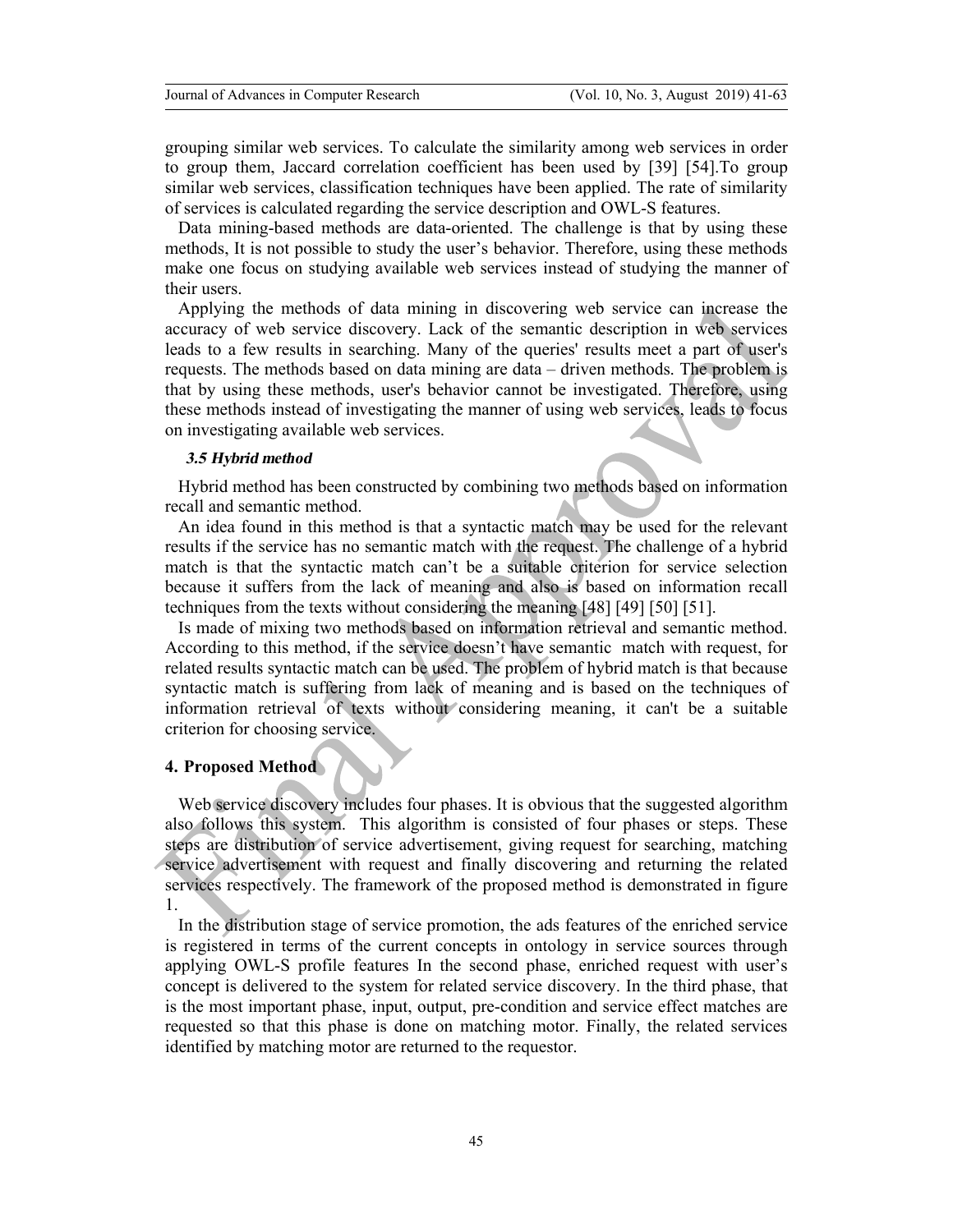grouping similar web services. To calculate the similarity among web services in order to group them, Jaccard correlation coefficient has been used by [39] [54].To group similar web services, classification techniques have been applied. The rate of similarity of services is calculated regarding the service description and OWL-S features.

Data mining-based methods are data-oriented. The challenge is that by using these methods, It is not possible to study the user's behavior. Therefore, using these methods make one focus on studying available web services instead of studying the manner of their users.

Applying the methods of data mining in discovering web service can increase the accuracy of web service discovery. Lack of the semantic description in web services leads to a few results in searching. Many of the queries' results meet a part of user's requests. The methods based on data mining are data – driven methods. The problem is that by using these methods, user's behavior cannot be investigated. Therefore, using these methods instead of investigating the manner of using web services, leads to focus on investigating available web services.

#### *3.5 Hybrid method*

Hybrid method has been constructed by combining two methods based on information recall and semantic method.

An idea found in this method is that a syntactic match may be used for the relevant results if the service has no semantic match with the request. The challenge of a hybrid match is that the syntactic match can't be a suitable criterion for service selection because it suffers from the lack of meaning and also is based on information recall techniques from the texts without considering the meaning [48] [49] [50] [51].

Is made of mixing two methods based on information retrieval and semantic method. According to this method, if the service doesn't have semantic match with request, for related results syntactic match can be used. The problem of hybrid match is that because syntactic match is suffering from lack of meaning and is based on the techniques of information retrieval of texts without considering meaning, it can't be a suitable criterion for choosing service.

## **4. Proposed Method**

Web service discovery includes four phases. It is obvious that the suggested algorithm also follows this system. This algorithm is consisted of four phases or steps. These steps are distribution of service advertisement, giving request for searching, matching service advertisement with request and finally discovering and returning the related services respectively. The framework of the proposed method is demonstrated in figure 1.

In the distribution stage of service promotion, the ads features of the enriched service is registered in terms of the current concepts in ontology in service sources through applying OWL-S profile features In the second phase, enriched request with user's concept is delivered to the system for related service discovery. In the third phase, that is the most important phase, input, output, pre-condition and service effect matches are requested so that this phase is done on matching motor. Finally, the related services identified by matching motor are returned to the requestor.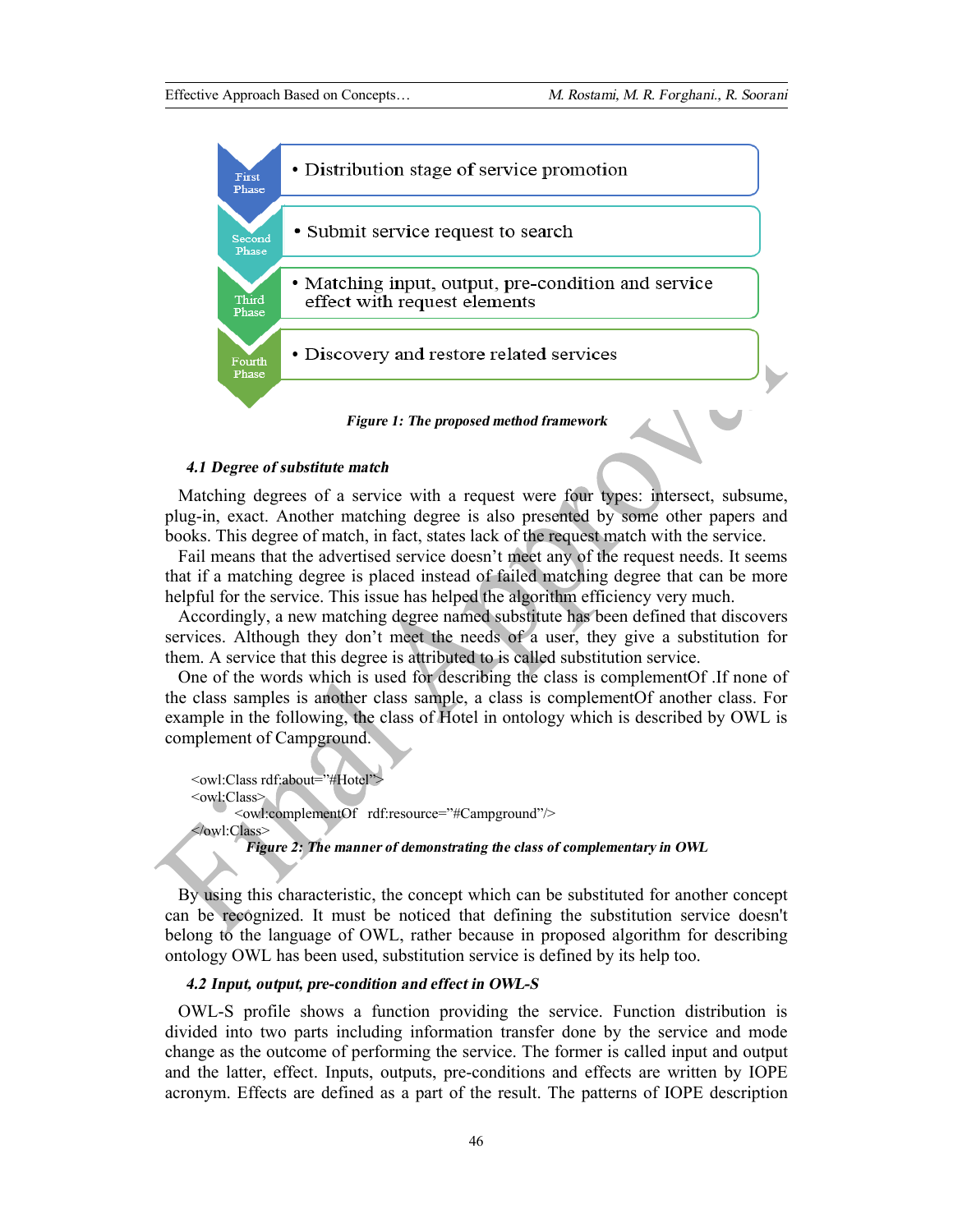

#### *4.1 Degree of substitute match*

Matching degrees of a service with a request were four types: intersect, subsume, plug-in, exact. Another matching degree is also presented by some other papers and books. This degree of match, in fact, states lack of the request match with the service.

Fail means that the advertised service doesn't meet any of the request needs. It seems that if a matching degree is placed instead of failed matching degree that can be more helpful for the service. This issue has helped the algorithm efficiency very much.

Accordingly, a new matching degree named substitute has been defined that discovers services. Although they don't meet the needs of a user, they give a substitution for them. A service that this degree is attributed to is called substitution service.

One of the words which is used for describing the class is complementOf .If none of the class samples is another class sample, a class is complementOf another class. For example in the following, the class of Hotel in ontology which is described by OWL is complement of Campground.

 <owl:Class rdf:about="#Hotel"> <owl:Class> <owl:complementOf rdf:resource="#Campground"/> </owl:Class> *Figure 2: The manner of demonstrating the class of complementary in OWL* 

By using this characteristic, the concept which can be substituted for another concept can be recognized. It must be noticed that defining the substitution service doesn't belong to the language of OWL, rather because in proposed algorithm for describing ontology OWL has been used, substitution service is defined by its help too.

# *4.2 Input, output, pre-condition and effect in OWL-S*

OWL-S profile shows a function providing the service. Function distribution is divided into two parts including information transfer done by the service and mode change as the outcome of performing the service. The former is called input and output and the latter, effect. Inputs, outputs, pre-conditions and effects are written by IOPE acronym. Effects are defined as a part of the result. The patterns of IOPE description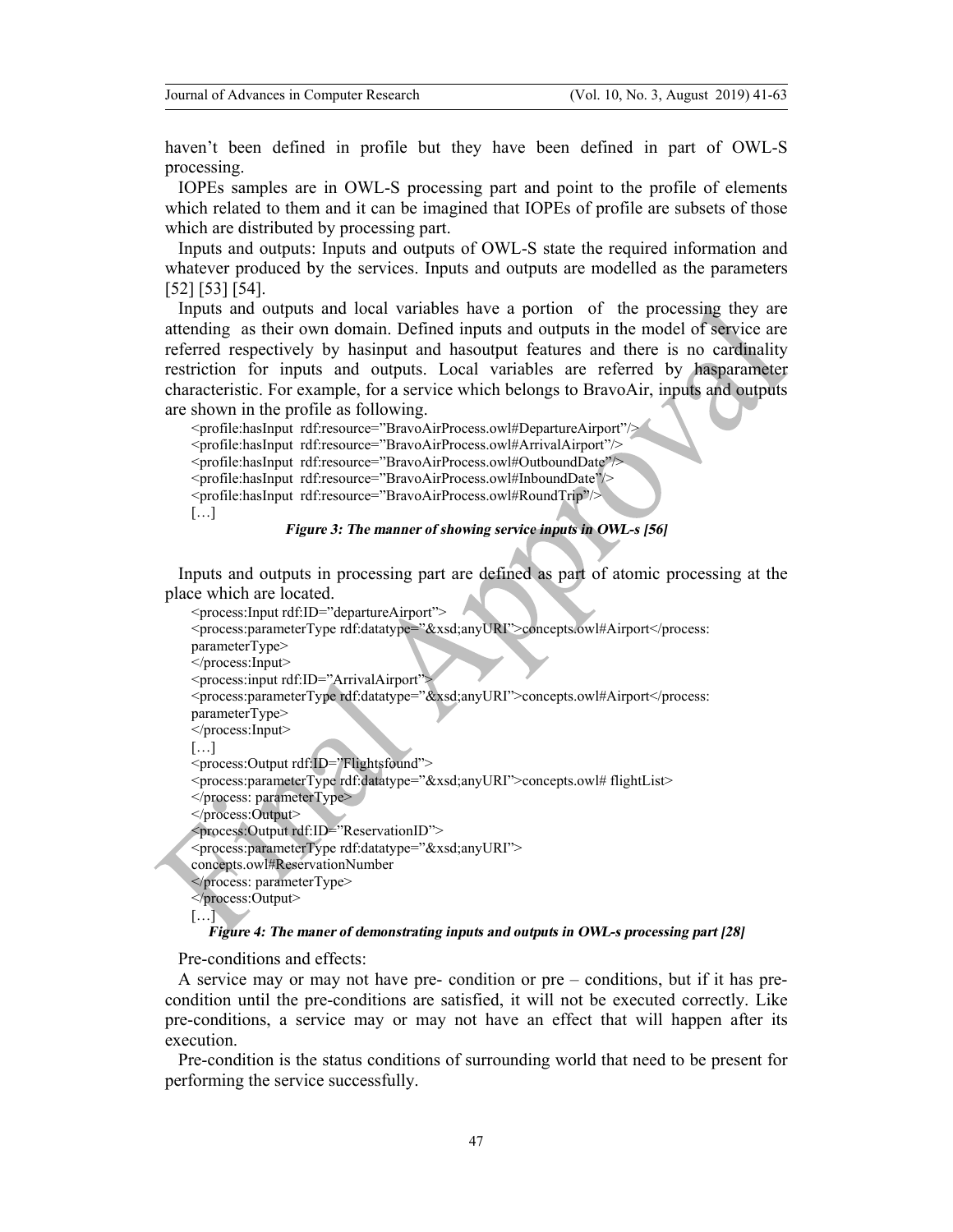haven't been defined in profile but they have been defined in part of OWL-S processing.

IOPEs samples are in OWL-S processing part and point to the profile of elements which related to them and it can be imagined that IOPEs of profile are subsets of those which are distributed by processing part.

Inputs and outputs: Inputs and outputs of OWL-S state the required information and whatever produced by the services. Inputs and outputs are modelled as the parameters [52] [53] [54].

Inputs and outputs and local variables have a portion of the processing they are attending as their own domain. Defined inputs and outputs in the model of service are referred respectively by hasinput and hasoutput features and there is no cardinality restriction for inputs and outputs. Local variables are referred by hasparameter characteristic. For example, for a service which belongs to BravoAir, inputs and outputs are shown in the profile as following.

 <profile:hasInput rdf:resource="BravoAirProcess.owl#DepartureAirport"/> <profile:hasInput rdf:resource="BravoAirProcess.owl#ArrivalAirport"/> <profile:hasInput rdf:resource="BravoAirProcess.owl#OutboundDate"/> <profile:hasInput rdf:resource="BravoAirProcess.owl#InboundDate"/> <profile:hasInput rdf:resource="BravoAirProcess.owl#RoundTrip"/> […]

#### *Figure 3: The manner of showing service inputs in OWL-s [56]*

Inputs and outputs in processing part are defined as part of atomic processing at the place which are located.

 <process:Input rdf:ID="departureAirport"> <process:parameterType rdf:datatype="&xsd;anyURI">concepts.owl#Airport</process: parameterType> </process:Input> <process:input rdf:ID="ArrivalAirport"> <process:parameterType rdf:datatype="&xsd;anyURI">concepts.owl#Airport</process: parameterType> </process:Input>  $[\dots]$ <process:Output rdf:ID="Flightsfound"> <process:parameterType rdf:datatype="&xsd;anyURI">concepts.owl# flightList> </process: parameterType> </process:Output> <process:Output rdf:ID="ReservationID"> <process:parameterType rdf:datatype="&xsd;anyURI"> concepts.owl#ReservationNumber </process: parameterType> </process:Output> […]

#### *Figure 4: The maner of demonstrating inputs and outputs in OWL-s processing part [28]*

Pre-conditions and effects:

A service may or may not have pre- condition or pre – conditions, but if it has precondition until the pre-conditions are satisfied, it will not be executed correctly. Like pre-conditions, a service may or may not have an effect that will happen after its execution.

Pre-condition is the status conditions of surrounding world that need to be present for performing the service successfully.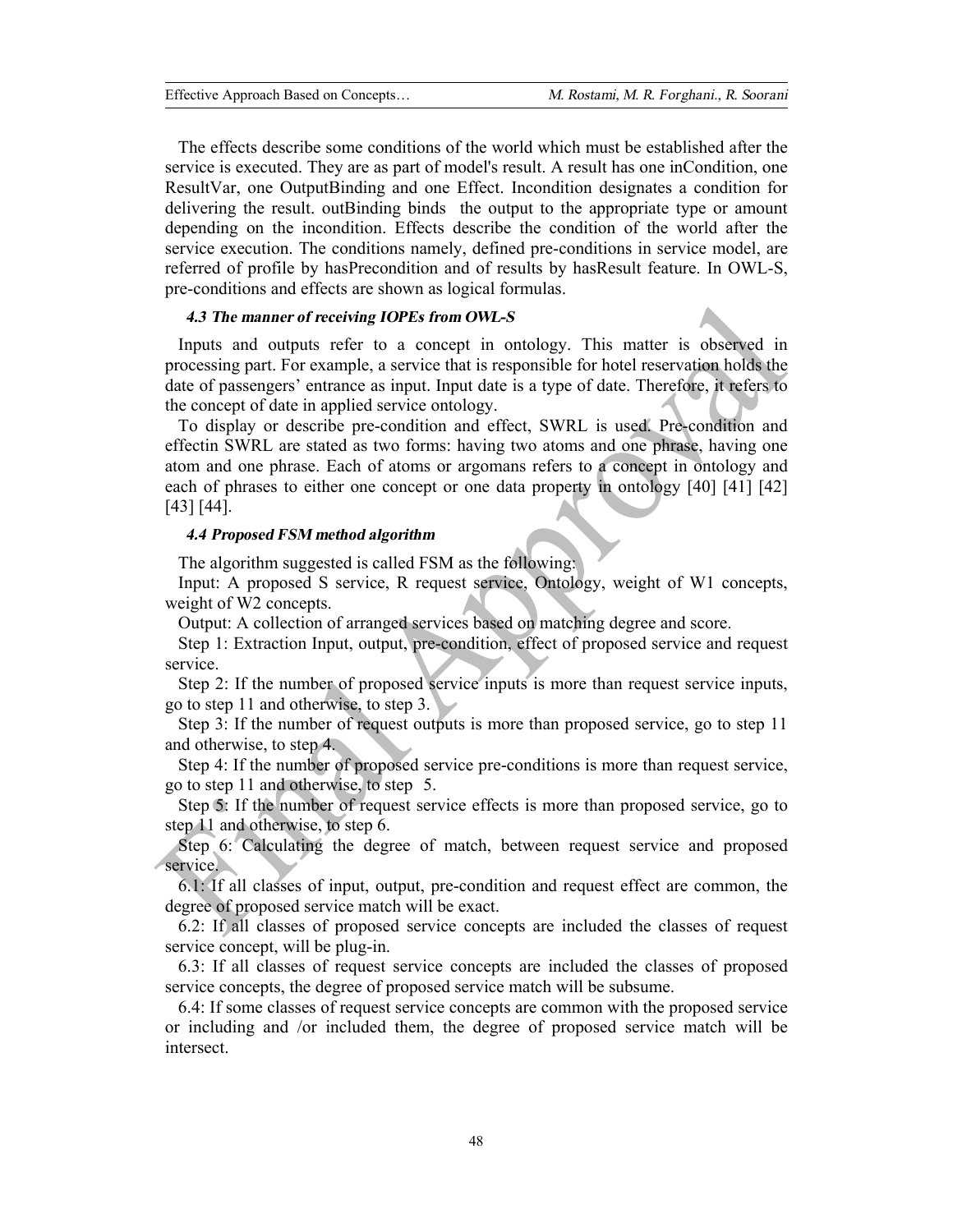The effects describe some conditions of the world which must be established after the service is executed. They are as part of model's result. A result has one inCondition, one ResultVar, one OutputBinding and one Effect. Incondition designates a condition for delivering the result. outBinding binds the output to the appropriate type or amount depending on the incondition. Effects describe the condition of the world after the service execution. The conditions namely, defined pre-conditions in service model, are referred of profile by hasPrecondition and of results by hasResult feature. In OWL-S, pre-conditions and effects are shown as logical formulas.

## *4.3 The manner of receiving IOPEs from OWL-S*

Inputs and outputs refer to a concept in ontology. This matter is observed in processing part. For example, a service that is responsible for hotel reservation holds the date of passengers' entrance as input. Input date is a type of date. Therefore, it refers to the concept of date in applied service ontology.

To display or describe pre-condition and effect, SWRL is used. Pre-condition and effectin SWRL are stated as two forms: having two atoms and one phrase, having one atom and one phrase. Each of atoms or argomans refers to a concept in ontology and each of phrases to either one concept or one data property in ontology [40] [41] [42] [43] [44].

#### *4.4 Proposed FSM method algorithm*

The algorithm suggested is called FSM as the following:

Input: A proposed S service, R request service, Ontology, weight of W1 concepts, weight of W2 concepts.

Output: A collection of arranged services based on matching degree and score.

Step 1: Extraction Input, output, pre-condition, effect of proposed service and request service.

Step 2: If the number of proposed service inputs is more than request service inputs, go to step 11 and otherwise, to step 3.

Step 3: If the number of request outputs is more than proposed service, go to step 11 and otherwise, to step 4.

Step 4: If the number of proposed service pre-conditions is more than request service, go to step 11 and otherwise, to step 5.

Step 5: If the number of request service effects is more than proposed service, go to step 11 and otherwise, to step 6.

Step 6: Calculating the degree of match, between request service and proposed service.

6.1: If all classes of input, output, pre-condition and request effect are common, the degree of proposed service match will be exact.

6.2: If all classes of proposed service concepts are included the classes of request service concept, will be plug-in.

6.3: If all classes of request service concepts are included the classes of proposed service concepts, the degree of proposed service match will be subsume.

6.4: If some classes of request service concepts are common with the proposed service or including and /or included them, the degree of proposed service match will be intersect.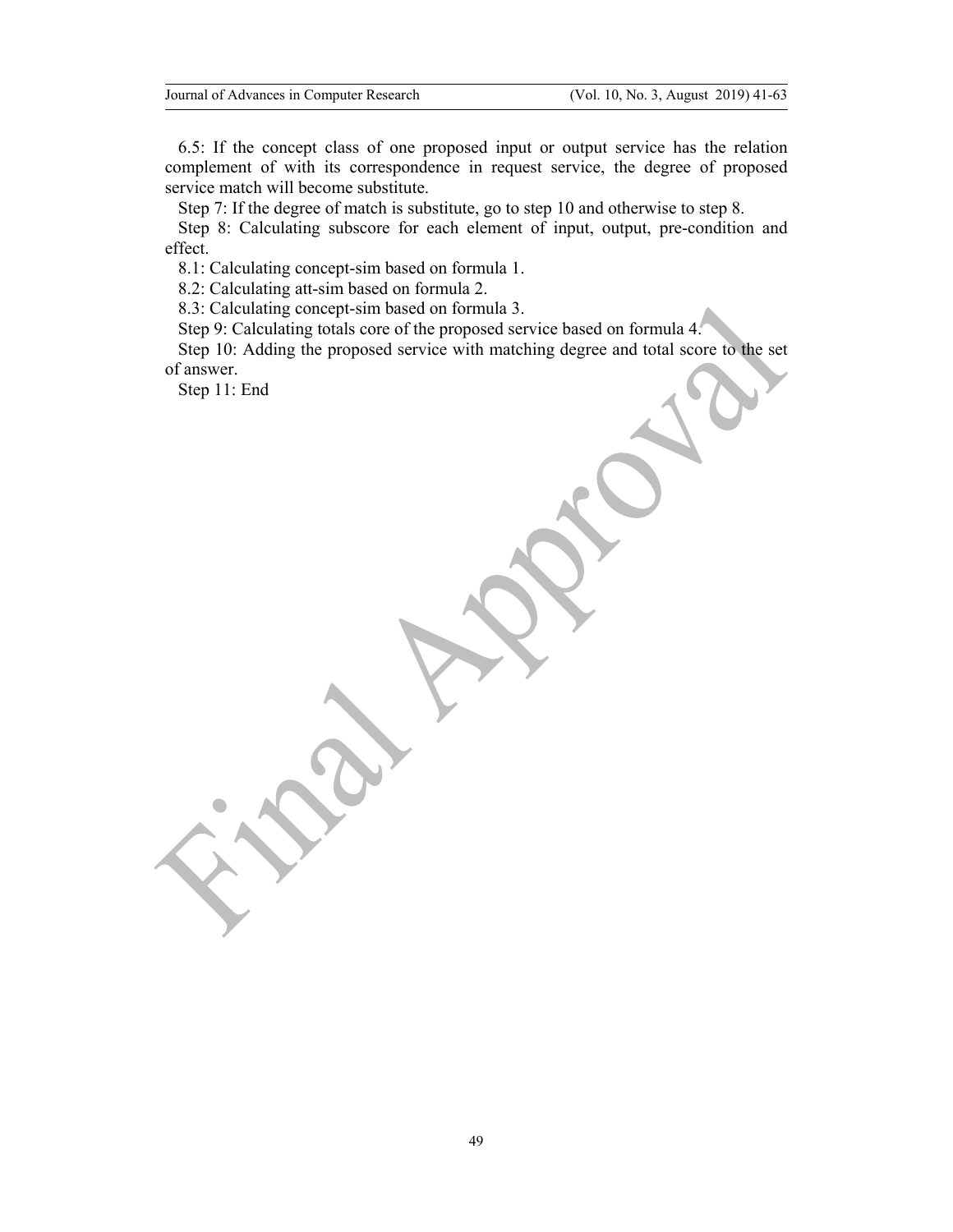6.5: If the concept class of one proposed input or output service has the relation complement of with its correspondence in request service, the degree of proposed service match will become substitute.

Step 7: If the degree of match is substitute, go to step 10 and otherwise to step 8.

Step 8: Calculating subscore for each element of input, output, pre-condition and effect.

8.1: Calculating concept-sim based on formula 1.

8.2: Calculating att-sim based on formula 2.

8.3: Calculating concept-sim based on formula 3.

Step 9: Calculating totals core of the proposed service based on formula 4.

Step 10: Adding the proposed service with matching degree and total score to the set of answer.

Step 11: End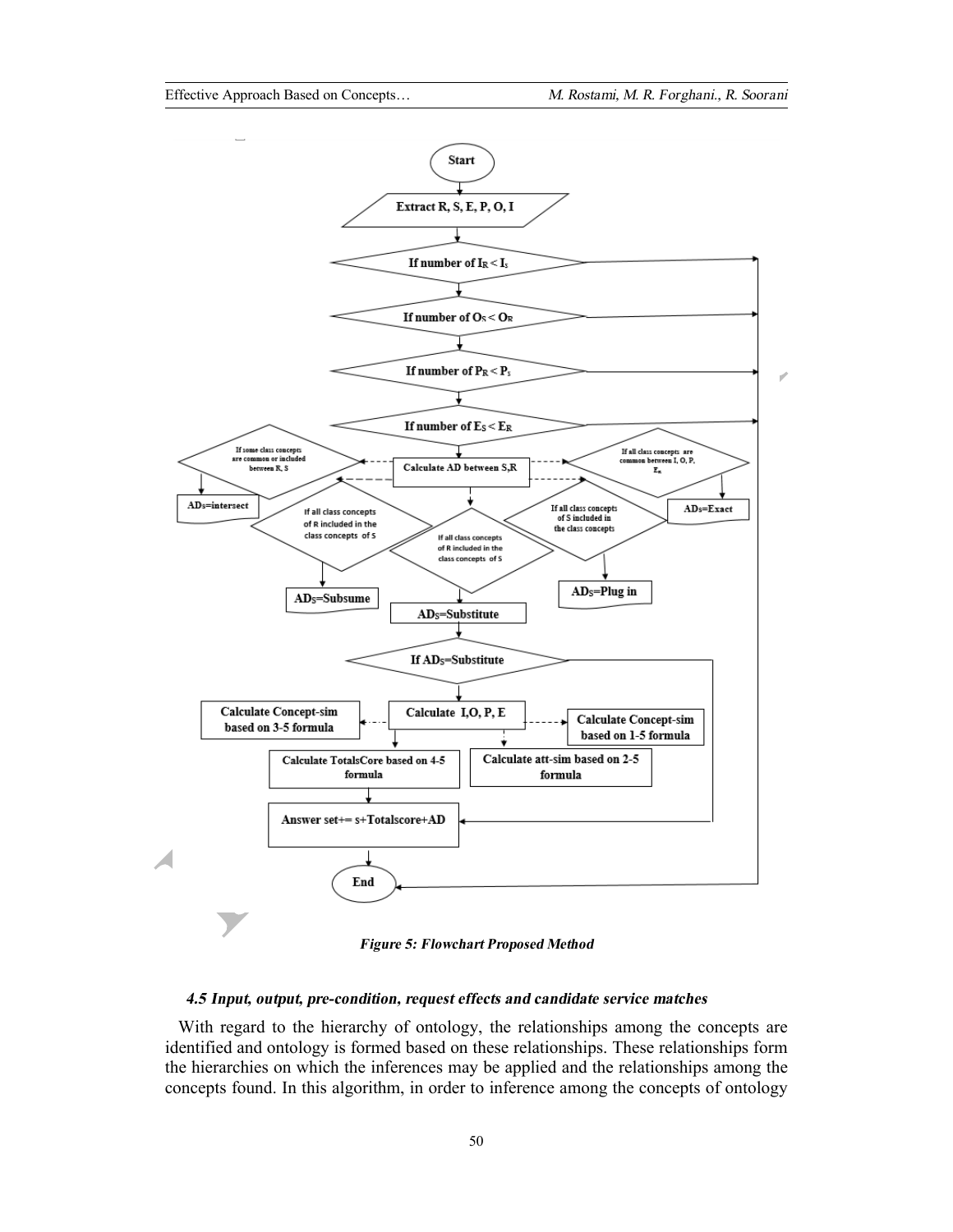

*Figure 5: Flowchart Proposed Method*

## *4.5 Input, output, pre-condition, request effects and candidate service matches*

With regard to the hierarchy of ontology, the relationships among the concepts are identified and ontology is formed based on these relationships. These relationships form the hierarchies on which the inferences may be applied and the relationships among the concepts found. In this algorithm, in order to inference among the concepts of ontology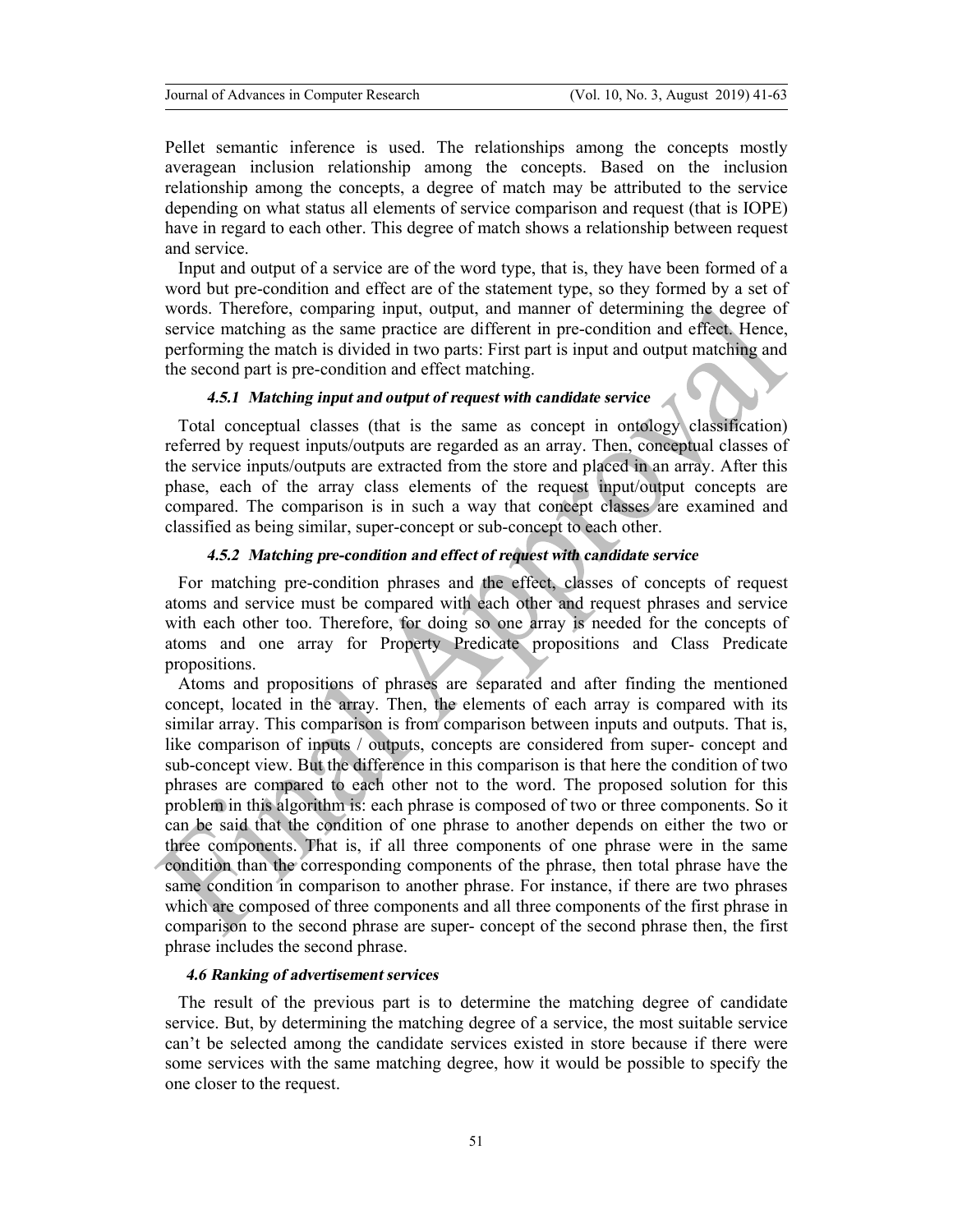Pellet semantic inference is used. The relationships among the concepts mostly averagean inclusion relationship among the concepts. Based on the inclusion relationship among the concepts, a degree of match may be attributed to the service depending on what status all elements of service comparison and request (that is IOPE) have in regard to each other. This degree of match shows a relationship between request and service.

Input and output of a service are of the word type, that is, they have been formed of a word but pre-condition and effect are of the statement type, so they formed by a set of words. Therefore, comparing input, output, and manner of determining the degree of service matching as the same practice are different in pre-condition and effect. Hence, performing the match is divided in two parts: First part is input and output matching and the second part is pre-condition and effect matching.

# *4.5.1 Matching input and output of request with candidate service*

Total conceptual classes (that is the same as concept in ontology classification) referred by request inputs/outputs are regarded as an array. Then, conceptual classes of the service inputs/outputs are extracted from the store and placed in an array. After this phase, each of the array class elements of the request input/output concepts are compared. The comparison is in such a way that concept classes are examined and classified as being similar, super-concept or sub-concept to each other.

## *4.5.2 Matching pre-condition and effect of request with candidate service*

For matching pre-condition phrases and the effect, classes of concepts of request atoms and service must be compared with each other and request phrases and service with each other too. Therefore, for doing so one array is needed for the concepts of atoms and one array for Property Predicate propositions and Class Predicate propositions.

Atoms and propositions of phrases are separated and after finding the mentioned concept, located in the array. Then, the elements of each array is compared with its similar array. This comparison is from comparison between inputs and outputs. That is, like comparison of inputs / outputs, concepts are considered from super- concept and sub-concept view. But the difference in this comparison is that here the condition of two phrases are compared to each other not to the word. The proposed solution for this problem in this algorithm is: each phrase is composed of two or three components. So it can be said that the condition of one phrase to another depends on either the two or three components. That is, if all three components of one phrase were in the same condition than the corresponding components of the phrase, then total phrase have the same condition in comparison to another phrase. For instance, if there are two phrases which are composed of three components and all three components of the first phrase in comparison to the second phrase are super- concept of the second phrase then, the first phrase includes the second phrase.

## *4.6 Ranking of advertisementservices*

The result of the previous part is to determine the matching degree of candidate service. But, by determining the matching degree of a service, the most suitable service can't be selected among the candidate services existed in store because if there were some services with the same matching degree, how it would be possible to specify the one closer to the request.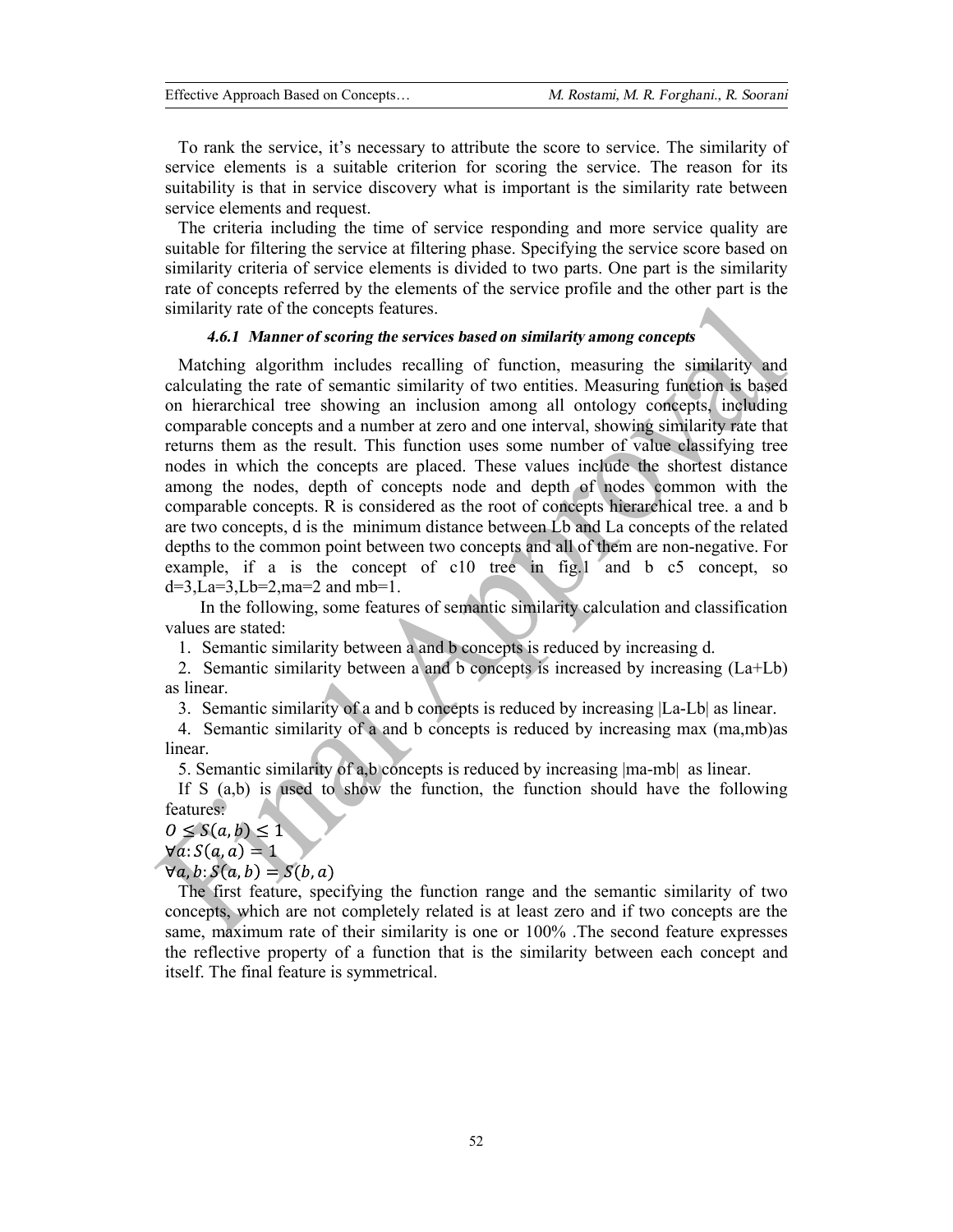To rank the service, it's necessary to attribute the score to service. The similarity of service elements is a suitable criterion for scoring the service. The reason for its suitability is that in service discovery what is important is the similarity rate between service elements and request.

The criteria including the time of service responding and more service quality are suitable for filtering the service at filtering phase. Specifying the service score based on similarity criteria of service elements is divided to two parts. One part is the similarity rate of concepts referred by the elements of the service profile and the other part is the similarity rate of the concepts features.

## *4.6.1 Manner of scoring the services based on similarity among concepts*

Matching algorithm includes recalling of function, measuring the similarity and calculating the rate of semantic similarity of two entities. Measuring function is based on hierarchical tree showing an inclusion among all ontology concepts, including comparable concepts and a number at zero and one interval, showing similarity rate that returns them as the result. This function uses some number of value classifying tree nodes in which the concepts are placed. These values include the shortest distance among the nodes, depth of concepts node and depth of nodes common with the comparable concepts. R is considered as the root of concepts hierarchical tree. a and b are two concepts, d is the minimum distance between Lb and La concepts of the related depths to the common point between two concepts and all of them are non-negative. For example, if a is the concept of c10 tree in fig.1 and b c5 concept, so  $d=3$ , $La=3$ , $Lb=2$ , $ma=2$  and  $mb=1$ .

In the following, some features of semantic similarity calculation and classification values are stated:

1. Semantic similarity between a and b concepts is reduced by increasing d.

2. Semantic similarity between a and b concepts is increased by increasing (La+Lb) as linear.

3. Semantic similarity of a and b concepts is reduced by increasing |La-Lb| as linear.

4. Semantic similarity of a and b concepts is reduced by increasing max (ma,mb)as linear.

5. Semantic similarity of a,b concepts is reduced by increasing |ma-mb| as linear.

If S (a,b) is used to show the function, the function should have the following features:

# $0 \leq S(a, b) \leq 1$

 $\forall a: S(a,a) = 1$ 

 $\forall a, b: S(a, b) = S(b, a)$ 

The first feature, specifying the function range and the semantic similarity of two concepts, which are not completely related is at least zero and if two concepts are the same, maximum rate of their similarity is one or 100% .The second feature expresses the reflective property of a function that is the similarity between each concept and itself. The final feature is symmetrical.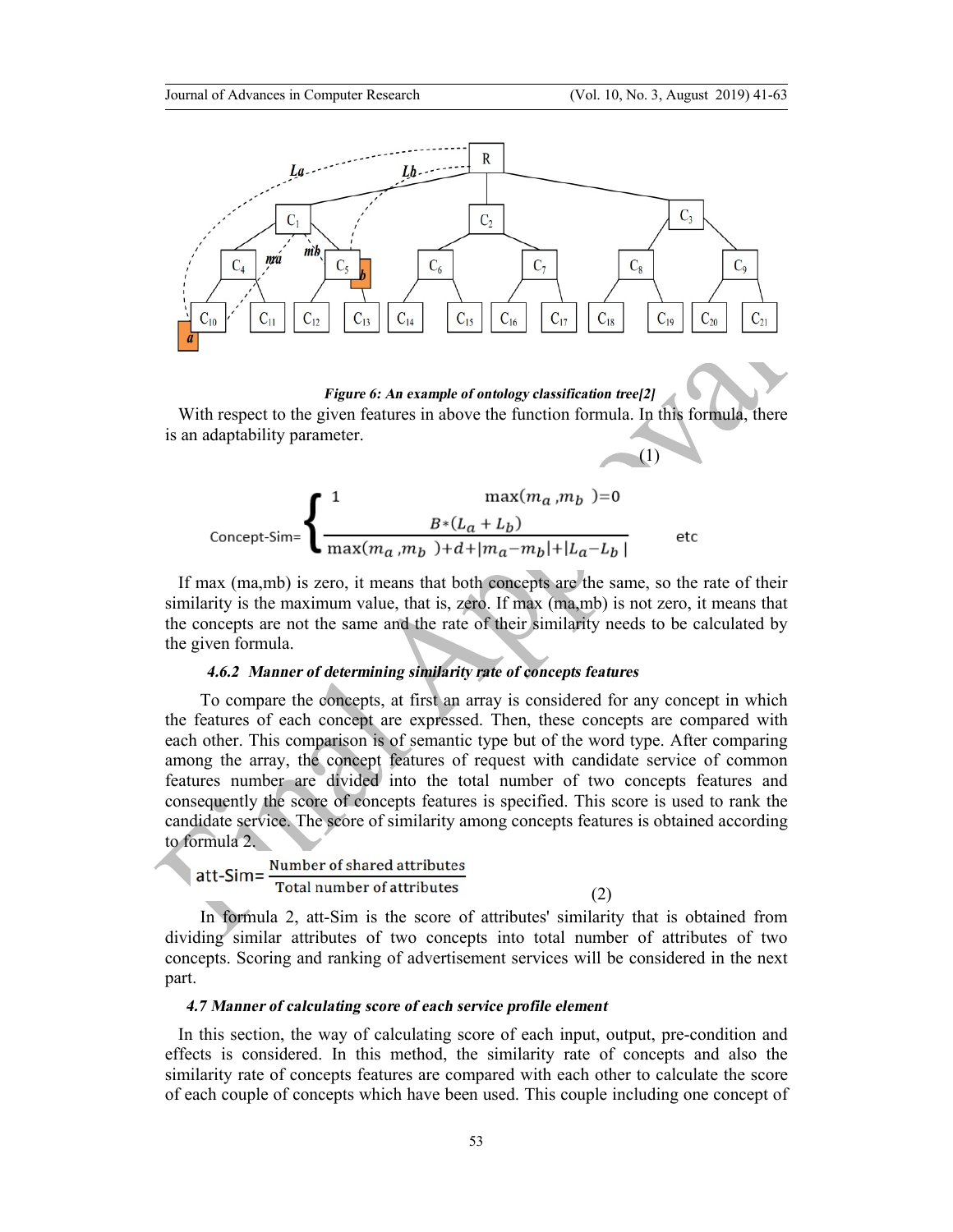

*Figure 6: An example of ontology classification tree[2]* 

With respect to the given features in above the function formula. In this formula, there is an adaptability parameter.  $\bullet$  (1)

$$
\text{Concept-Sim}=\left\{\begin{aligned}1&\max(m_a,m_b\text{ })=0\\&\frac{B*(L_a+L_b)}{\max(m_a,m_b\text{ })+d+|m_a-m_b|+|L_a-L_b|}\end{aligned}\right.\qquad\text{etc}
$$

If max (ma,mb) is zero, it means that both concepts are the same, so the rate of their similarity is the maximum value, that is, zero. If max (ma,mb) is not zero, it means that the concepts are not the same and the rate of their similarity needs to be calculated by the given formula.

#### *4.6.2 Manner of determining similarity rate of concepts features*

To compare the concepts, at first an array is considered for any concept in which the features of each concept are expressed. Then, these concepts are compared with each other. This comparison is of semantic type but of the word type. After comparing among the array, the concept features of request with candidate service of common features number are divided into the total number of two concepts features and consequently the score of concepts features is specified. This score is used to rank the candidate service. The score of similarity among concepts features is obtained according to formula 2.

Number of shared attributes att-Sim= Total number of attributes

In formula 2, att-Sim is the score of attributes' similarity that is obtained from dividing similar attributes of two concepts into total number of attributes of two concepts. Scoring and ranking of advertisement services will be considered in the next part.

(2)

#### *4.7 Manner of calculating score of each service profile element*

In this section, the way of calculating score of each input, output, pre-condition and effects is considered. In this method, the similarity rate of concepts and also the similarity rate of concepts features are compared with each other to calculate the score of each couple of concepts which have been used. This couple including one concept of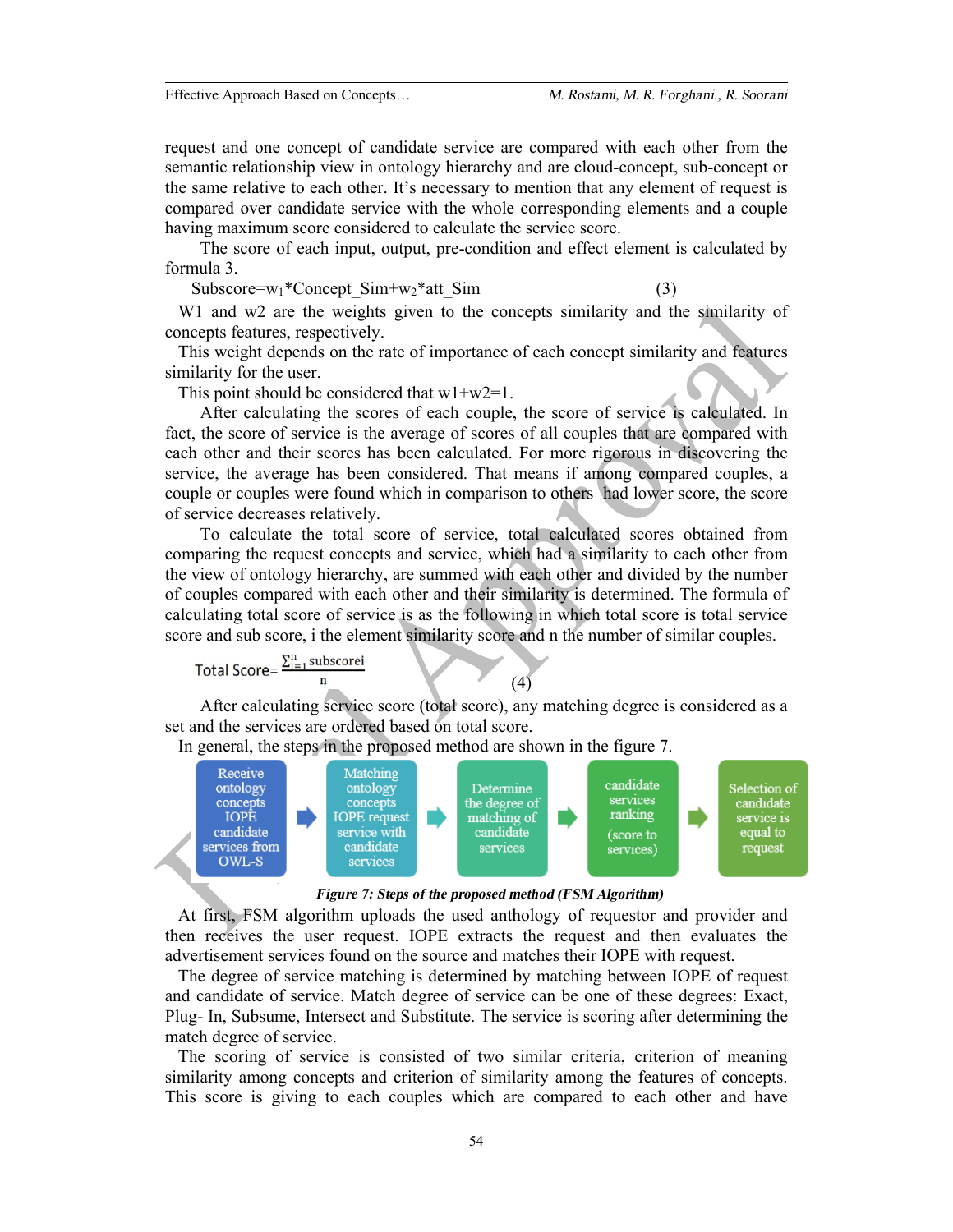request and one concept of candidate service are compared with each other from the semantic relationship view in ontology hierarchy and are cloud-concept, sub-concept or the same relative to each other. It's necessary to mention that any element of request is compared over candidate service with the whole corresponding elements and a couple having maximum score considered to calculate the service score.

The score of each input, output, pre-condition and effect element is calculated by formula 3.

 $Subscore=w_1*Concept Sim+w_2*att Sim$  (3)

W<sub>1</sub> and w<sub>2</sub> are the weights given to the concepts similarity and the similarity of concepts features, respectively.

This weight depends on the rate of importance of each concept similarity and features similarity for the user.

This point should be considered that  $w1+w2=1$ .

After calculating the scores of each couple, the score of service is calculated. In fact, the score of service is the average of scores of all couples that are compared with each other and their scores has been calculated. For more rigorous in discovering the service, the average has been considered. That means if among compared couples, a couple or couples were found which in comparison to others had lower score, the score of service decreases relatively.

To calculate the total score of service, total calculated scores obtained from comparing the request concepts and service, which had a similarity to each other from the view of ontology hierarchy, are summed with each other and divided by the number of couples compared with each other and their similarity is determined. The formula of calculating total score of service is as the following in which total score is total service score and sub score, i the element similarity score and n the number of similar couples.

Total Score = 
$$
\frac{\sum_{i=1}^{n} \text{subscorei}}{n}
$$
 (4)

After calculating service score (total score), any matching degree is considered as a set and the services are ordered based on total score.

In general, the steps in the proposed method are shown in the figure 7.





At first, FSM algorithm uploads the used anthology of requestor and provider and then receives the user request. IOPE extracts the request and then evaluates the advertisement services found on the source and matches their IOPE with request.

The degree of service matching is determined by matching between IOPE of request and candidate of service. Match degree of service can be one of these degrees: Exact, Plug- In, Subsume, Intersect and Substitute. The service is scoring after determining the match degree of service.

The scoring of service is consisted of two similar criteria, criterion of meaning similarity among concepts and criterion of similarity among the features of concepts. This score is giving to each couples which are compared to each other and have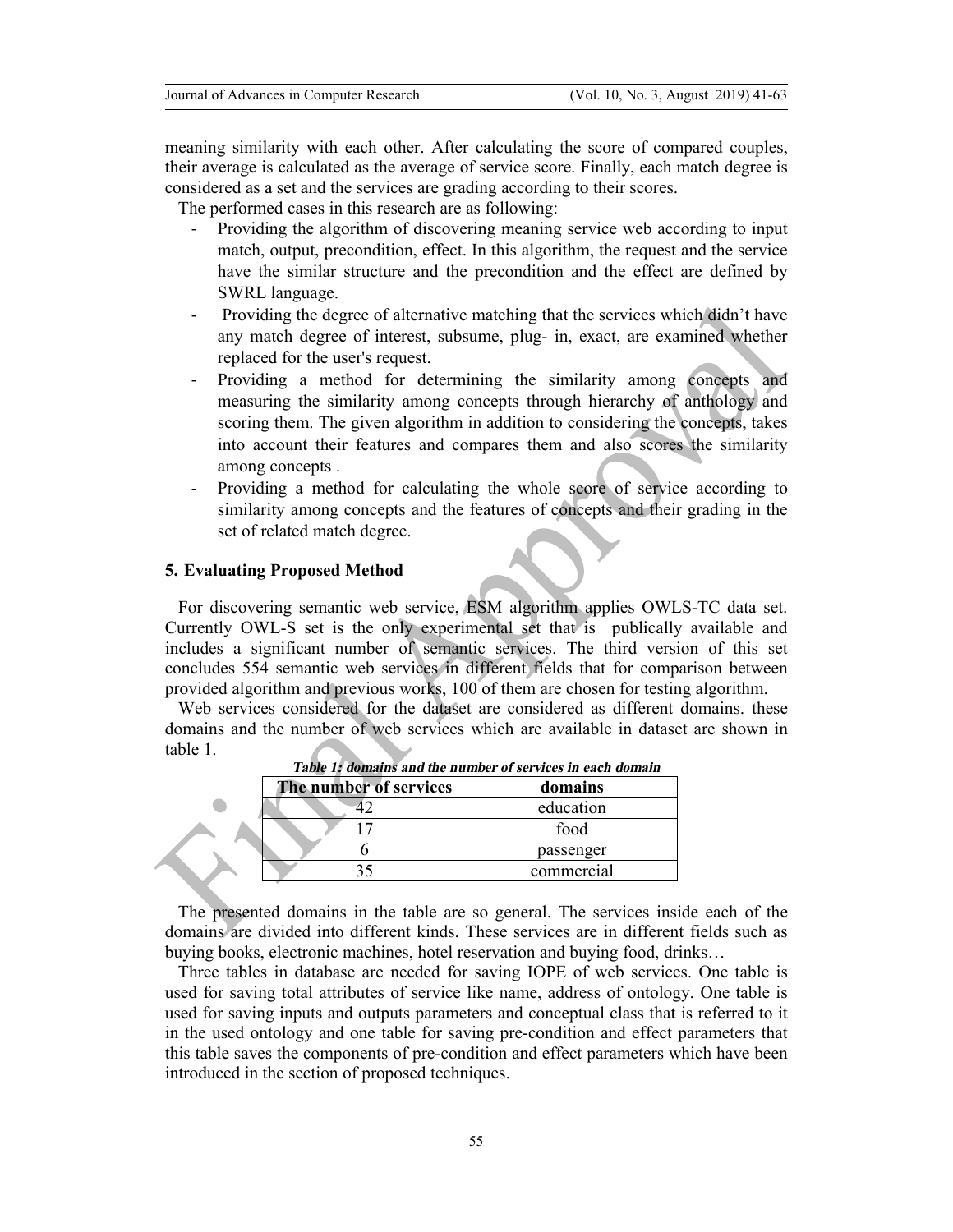meaning similarity with each other. After calculating the score of compared couples, their average is calculated as the average of service score. Finally, each match degree is considered as a set and the services are grading according to their scores.

The performed cases in this research are as following:

- Providing the algorithm of discovering meaning service web according to input match, output, precondition, effect. In this algorithm, the request and the service have the similar structure and the precondition and the effect are defined by SWRL language.
- Providing the degree of alternative matching that the services which didn't have any match degree of interest, subsume, plug- in, exact, are examined whether replaced for the user's request.
- Providing a method for determining the similarity among concepts and measuring the similarity among concepts through hierarchy of anthology and scoring them. The given algorithm in addition to considering the concepts, takes into account their features and compares them and also scores the similarity among concepts .
- Providing a method for calculating the whole score of service according to similarity among concepts and the features of concepts and their grading in the set of related match degree.

### **5. Evaluating Proposed Method**

For discovering semantic web service, ESM algorithm applies OWLS-TC data set. Currently OWL-S set is the only experimental set that is publically available and includes a significant number of semantic services. The third version of this set concludes 554 semantic web services in different fields that for comparison between provided algorithm and previous works, 100 of them are chosen for testing algorithm.

Web services considered for the dataset are considered as different domains. these domains and the number of web services which are available in dataset are shown in table 1.

| The number of services | domains    |
|------------------------|------------|
|                        | education  |
|                        | food       |
|                        | passenger  |
|                        | commercial |

*Table 1: domains and the number of services in each domain* 

The presented domains in the table are so general. The services inside each of the domains are divided into different kinds. These services are in different fields such as buying books, electronic machines, hotel reservation and buying food, drinks…

Three tables in database are needed for saving IOPE of web services. One table is used for saving total attributes of service like name, address of ontology. One table is used for saving inputs and outputs parameters and conceptual class that is referred to it in the used ontology and one table for saving pre-condition and effect parameters that this table saves the components of pre-condition and effect parameters which have been introduced in the section of proposed techniques.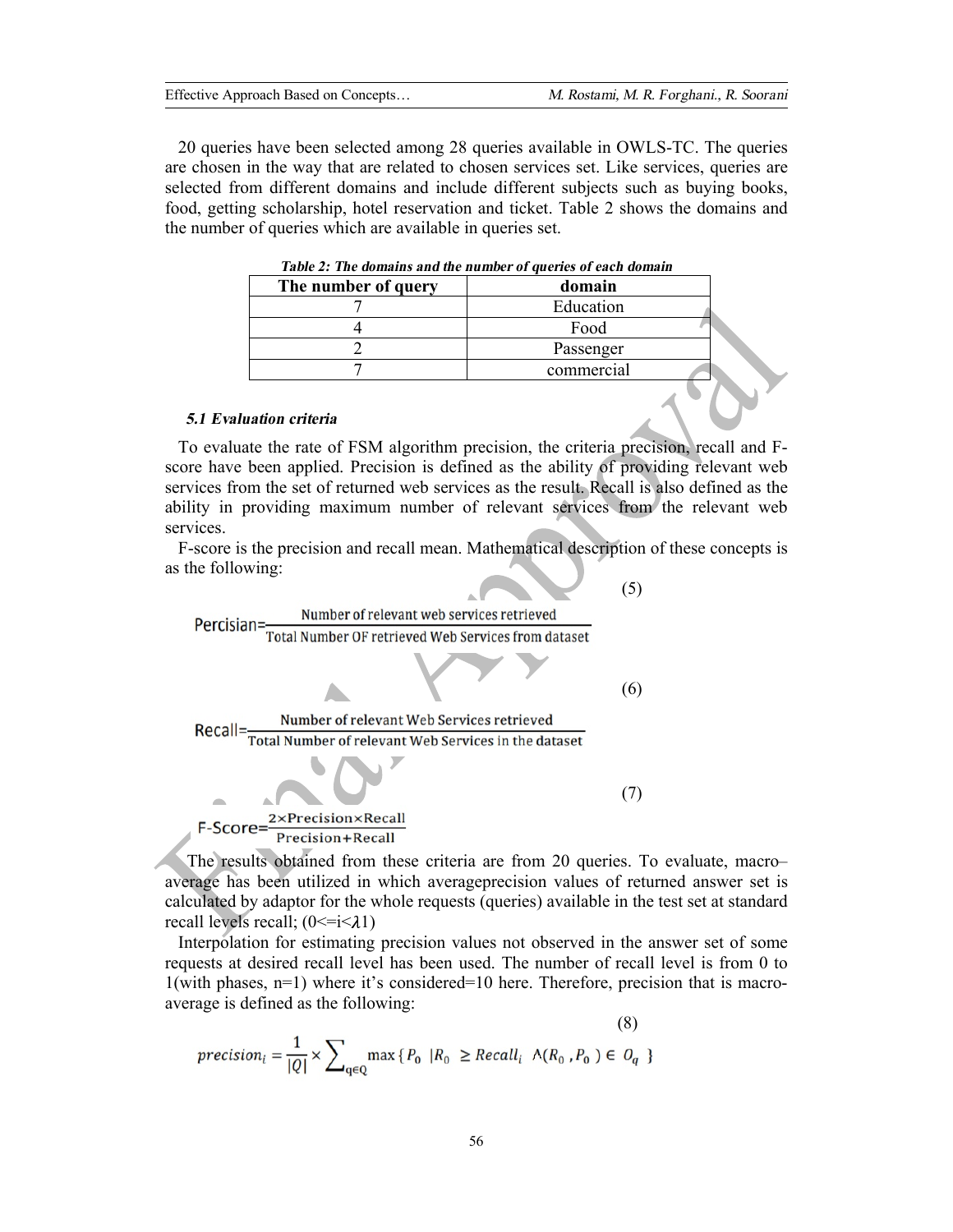20 queries have been selected among 28 queries available in OWLS-TC. The queries are chosen in the way that are related to chosen services set. Like services, queries are selected from different domains and include different subjects such as buying books, food, getting scholarship, hotel reservation and ticket. Table 2 shows the domains and the number of queries which are available in queries set.

| таріс 2, тис доніання анд піс напірсі от дастіся от саси доніані |            |  |  |  |
|------------------------------------------------------------------|------------|--|--|--|
| The number of query                                              | domain     |  |  |  |
|                                                                  | Education  |  |  |  |
|                                                                  | Food       |  |  |  |
|                                                                  | Passenger  |  |  |  |
|                                                                  | commercial |  |  |  |
|                                                                  |            |  |  |  |

#### *5.1 Evaluation criteria*

To evaluate the rate of FSM algorithm precision, the criteria precision, recall and Fscore have been applied. Precision is defined as the ability of providing relevant web services from the set of returned web services as the result. Recall is also defined as the ability in providing maximum number of relevant services from the relevant web services.

F-score is the precision and recall mean. Mathematical description of these concepts is as the following:



The results obtained from these criteria are from 20 queries. To evaluate, macro– average has been utilized in which averageprecision values of returned answer set is calculated by adaptor for the whole requests (queries) available in the test set at standard recall levels recall;  $(0 \le i \le \lambda 1)$ 

Interpolation for estimating precision values not observed in the answer set of some requests at desired recall level has been used. The number of recall level is from 0 to 1(with phases, n=1) where it's considered=10 here. Therefore, precision that is macroaverage is defined as the following:

$$
(8)
$$
  

$$
precision_{i} = \frac{1}{|Q|} \times \sum_{q \in Q} \max\{P_0 | R_0 \geq Recall_i \Lambda(R_0, P_0) \in O_q \}
$$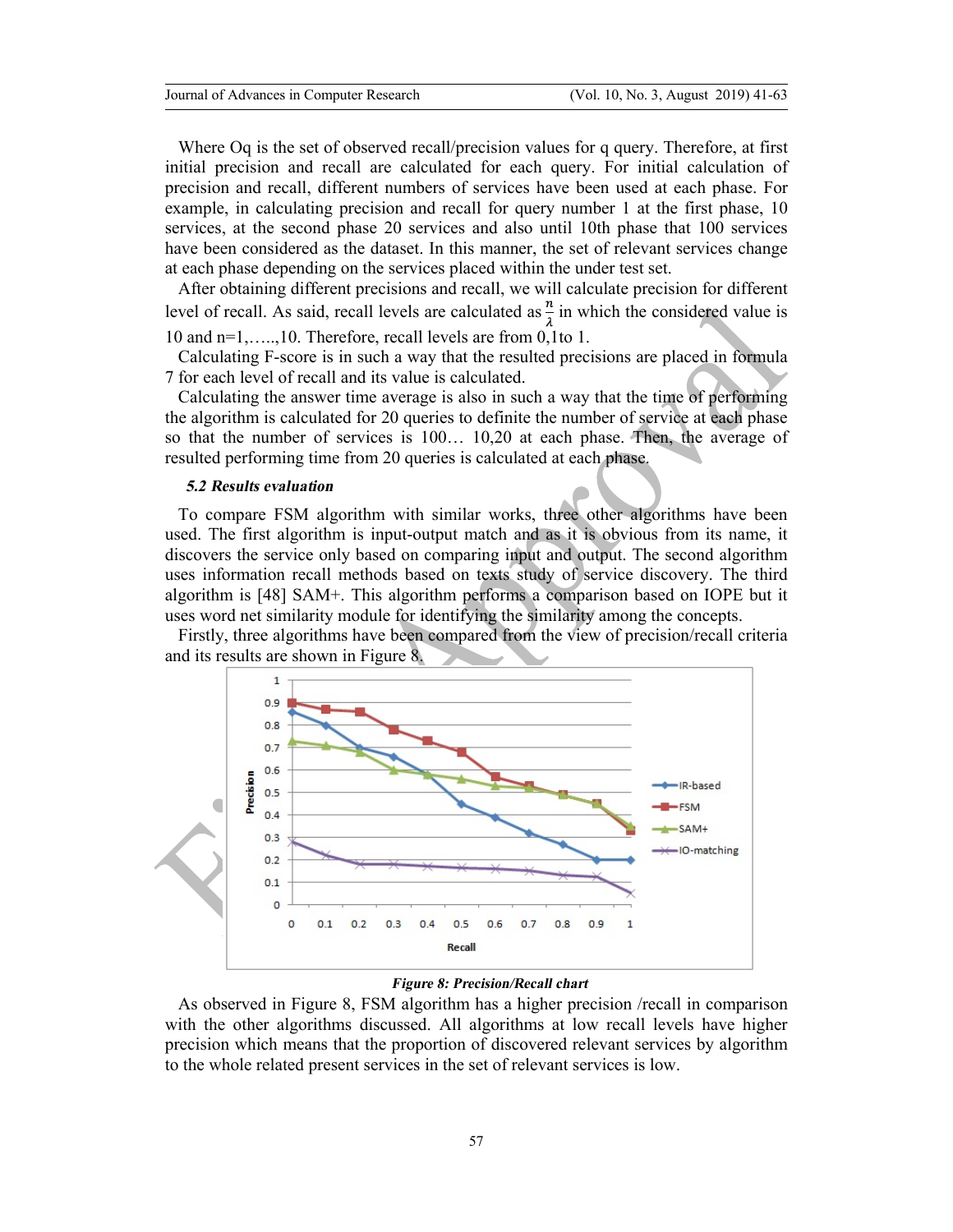Where Oq is the set of observed recall/precision values for q query. Therefore, at first initial precision and recall are calculated for each query. For initial calculation of precision and recall, different numbers of services have been used at each phase. For example, in calculating precision and recall for query number 1 at the first phase, 10 services, at the second phase 20 services and also until 10th phase that 100 services have been considered as the dataset. In this manner, the set of relevant services change at each phase depending on the services placed within the under test set.

After obtaining different precisions and recall, we will calculate precision for different level of recall. As said, recall levels are calculated as  $\frac{n}{\lambda}$  in which the considered value is 10 and n=1,…..,10. Therefore, recall levels are from 0,1to 1.

Calculating F-score is in such a way that the resulted precisions are placed in formula 7 for each level of recall and its value is calculated.

Calculating the answer time average is also in such a way that the time of performing the algorithm is calculated for 20 queries to definite the number of service at each phase so that the number of services is 100… 10,20 at each phase. Then, the average of resulted performing time from 20 queries is calculated at each phase.

## *5.2 Results evaluation*

To compare FSM algorithm with similar works, three other algorithms have been used. The first algorithm is input-output match and as it is obvious from its name, it discovers the service only based on comparing input and output. The second algorithm uses information recall methods based on texts study of service discovery. The third algorithm is [48] SAM+. This algorithm performs a comparison based on IOPE but it uses word net similarity module for identifying the similarity among the concepts.

Firstly, three algorithms have been compared from the view of precision/recall criteria and its results are shown in Figure 8.



#### *Figure 8: Precision/Recall chart*

As observed in Figure 8, FSM algorithm has a higher precision /recall in comparison with the other algorithms discussed. All algorithms at low recall levels have higher precision which means that the proportion of discovered relevant services by algorithm to the whole related present services in the set of relevant services is low.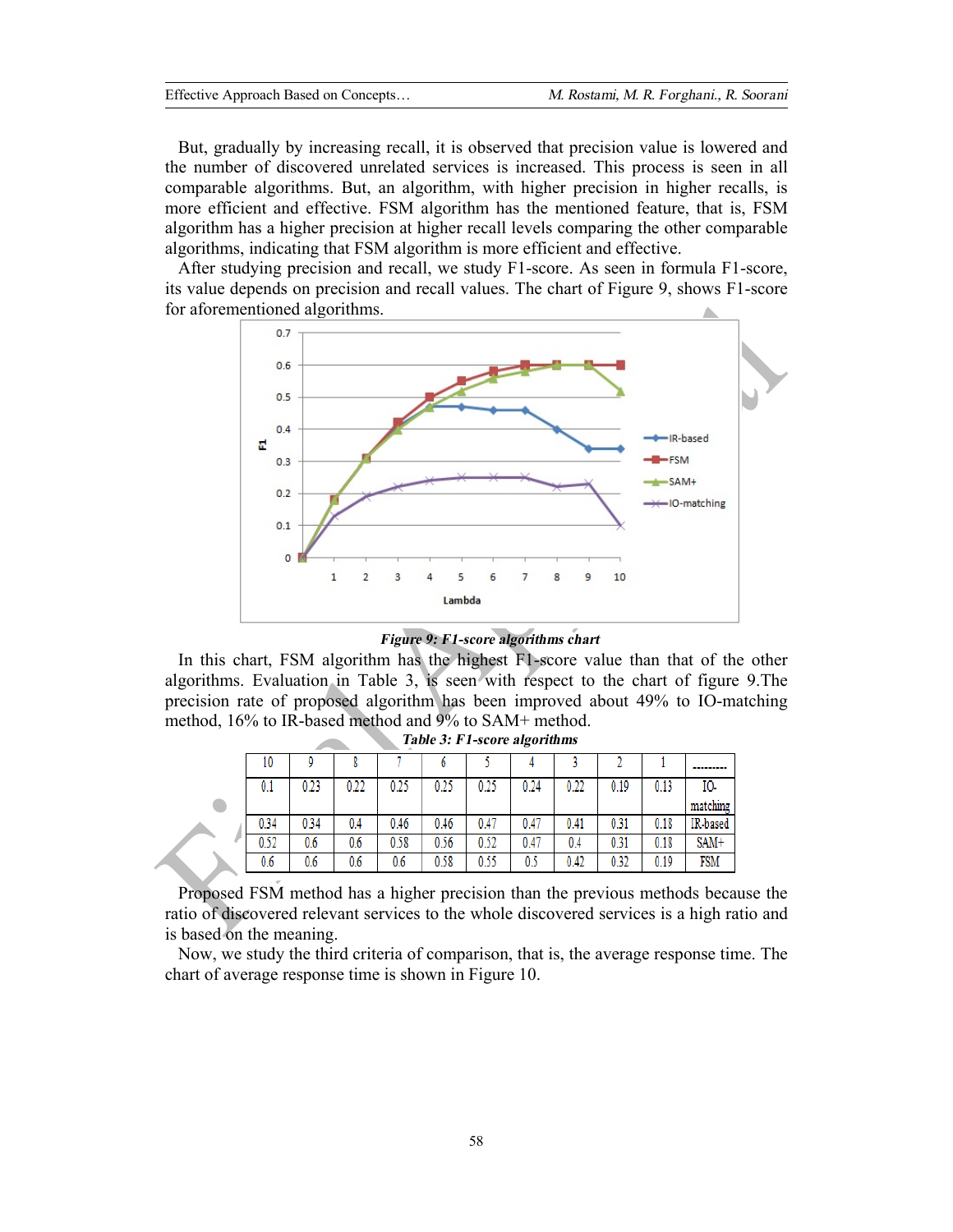But, gradually by increasing recall, it is observed that precision value is lowered and the number of discovered unrelated services is increased. This process is seen in all comparable algorithms. But, an algorithm, with higher precision in higher recalls, is more efficient and effective. FSM algorithm has the mentioned feature, that is, FSM algorithm has a higher precision at higher recall levels comparing the other comparable algorithms, indicating that FSM algorithm is more efficient and effective.

After studying precision and recall, we study F1-score. As seen in formula F1-score, its value depends on precision and recall values. The chart of Figure 9, shows F1-score for aforementioned algorithms.



#### *Figure 9: F1-score algorithms chart*

In this chart, FSM algorithm has the highest F1-score value than that of the other algorithms. Evaluation in Table 3, is seen with respect to the chart of figure 9.The precision rate of proposed algorithm has been improved about 49% to IO-matching method, 16% to IR-based method and 9% to SAM+ method.

| 10   |      |      |      | U    |      |      |      |      |      |          |
|------|------|------|------|------|------|------|------|------|------|----------|
| 0.1  | 0.23 | 0.22 | 0.25 | 0.25 | 0.25 | 0.24 | 0.22 | 0.19 | 0.13 | IO-      |
|      |      |      |      |      |      |      |      |      |      | matching |
| 0.34 | 0.34 | 0.4  | 0.46 | 0.46 | 0.47 | 0.47 | 0.41 | 0.31 | 0.18 | IR-based |
| 0.52 | 0.6  | 0.6  | 0.58 | 0.56 | 0.52 | 0.47 | 0.4  | 0.31 | 0.18 | SAM+     |
| 0.6  | 0.6  | 0.6  | 0.6  | 0.58 | 0.55 | 0.5  | 0.42 | 0.32 | 0.19 | FSM      |

*Table 3: F1-score algorithms* 

Proposed FSM method has a higher precision than the previous methods because the ratio of discovered relevant services to the whole discovered services is a high ratio and is based on the meaning.

Now, we study the third criteria of comparison, that is, the average response time. The chart of average response time is shown in Figure 10.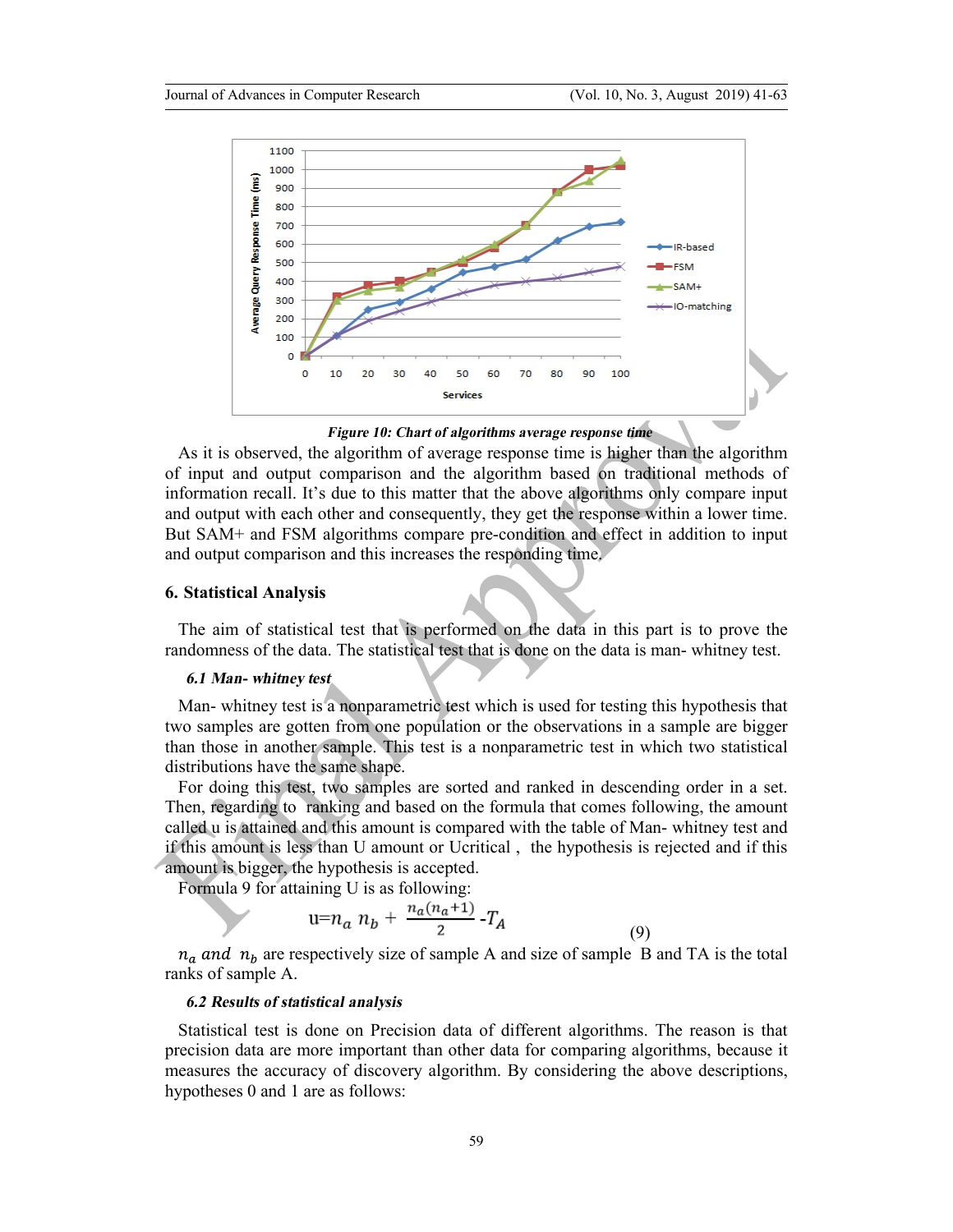

*Figure 10: Chart of algorithms average response time* 

As it is observed, the algorithm of average response time is higher than the algorithm of input and output comparison and the algorithm based on traditional methods of information recall. It's due to this matter that the above algorithms only compare input and output with each other and consequently, they get the response within a lower time. But SAM+ and FSM algorithms compare pre-condition and effect in addition to input and output comparison and this increases the responding time.

## **6. Statistical Analysis**

The aim of statistical test that is performed on the data in this part is to prove the randomness of the data. The statistical test that is done on the data is man- whitney test.

## *6.1 Man- whitney test*

Man- whitney test is a nonparametric test which is used for testing this hypothesis that two samples are gotten from one population or the observations in a sample are bigger than those in another sample. This test is a nonparametric test in which two statistical distributions have the same shape.

For doing this test, two samples are sorted and ranked in descending order in a set. Then, regarding to ranking and based on the formula that comes following, the amount called u is attained and this amount is compared with the table of Man- whitney test and if this amount is less than U amount or Ucritical , the hypothesis is rejected and if this amount is bigger, the hypothesis is accepted.

Formula 9 for attaining U is as following:

$$
u=n_a n_b + \frac{n_a(n_a+1)}{2} - T_A \tag{9}
$$

 $n_a$  and  $n_b$  are respectively size of sample A and size of sample B and TA is the total ranks of sample A.

### *6.2 Results of statistical analysis*

Statistical test is done on Precision data of different algorithms. The reason is that precision data are more important than other data for comparing algorithms, because it measures the accuracy of discovery algorithm. By considering the above descriptions, hypotheses 0 and 1 are as follows: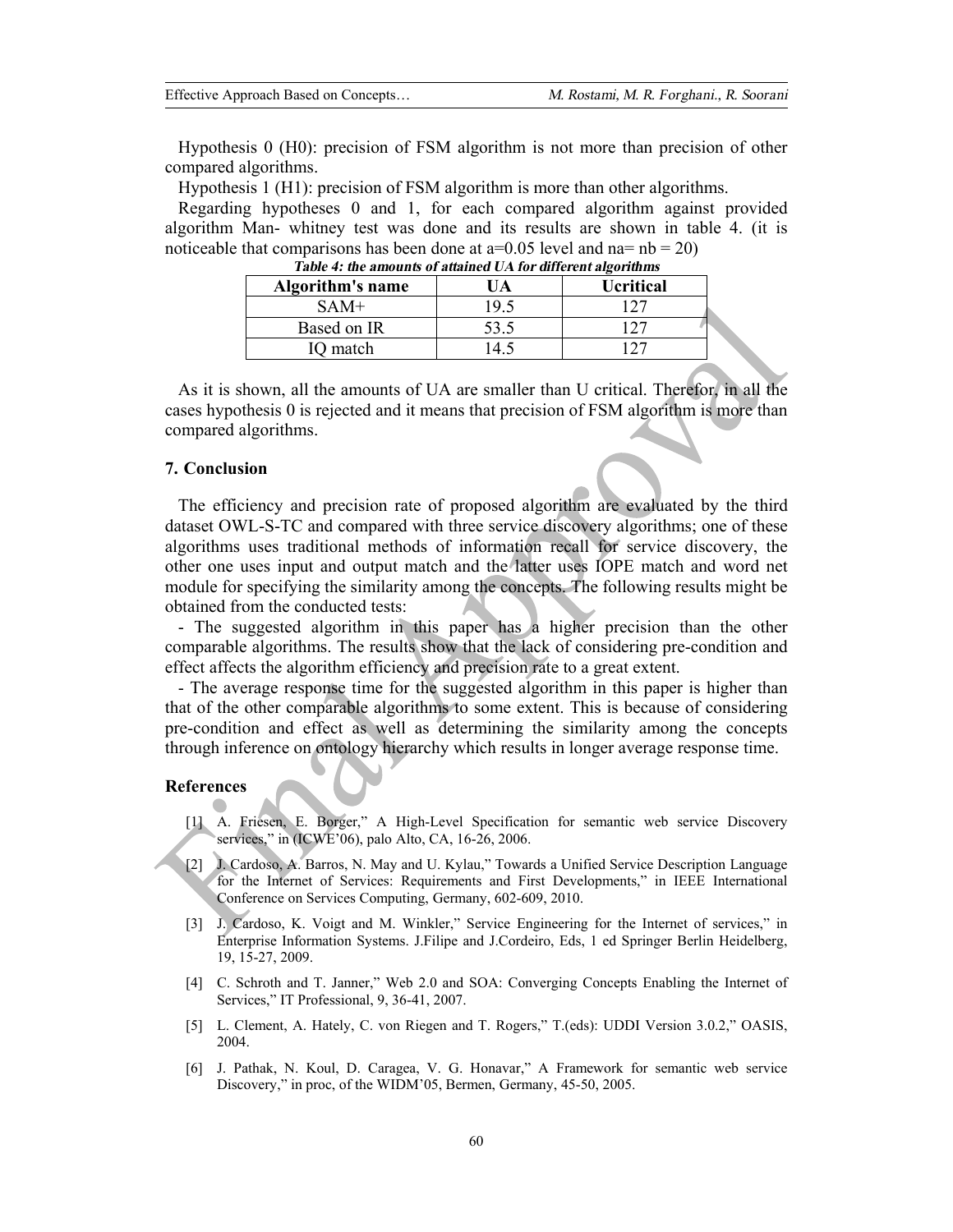Hypothesis 0 (H0): precision of FSM algorithm is not more than precision of other compared algorithms.

Hypothesis 1 (H1): precision of FSM algorithm is more than other algorithms.

Regarding hypotheses 0 and 1, for each compared algorithm against provided algorithm Man- whitney test was done and its results are shown in table 4. (it is noticeable that comparisons has been done at  $a=0.05$  level and  $na=nb=20$ )

| Table 7. the allounts of audined UTTIOI uniclent algorithms |      |                  |  |  |  |
|-------------------------------------------------------------|------|------------------|--|--|--|
| Algorithm's name                                            | JA   | <b>Ucritical</b> |  |  |  |
| SAM+                                                        | 19.5 |                  |  |  |  |
| Based on IR                                                 | 53.5 |                  |  |  |  |
| IQ match                                                    |      |                  |  |  |  |

*Table 4: the amounts of attained UA for different algorithms* 

As it is shown, all the amounts of UA are smaller than U critical. Therefor, in all the cases hypothesis 0 is rejected and it means that precision of FSM algorithm is more than compared algorithms.

#### **7. Conclusion**

The efficiency and precision rate of proposed algorithm are evaluated by the third dataset OWL-S-TC and compared with three service discovery algorithms; one of these algorithms uses traditional methods of information recall for service discovery, the other one uses input and output match and the latter uses IOPE match and word net module for specifying the similarity among the concepts. The following results might be obtained from the conducted tests:

- The suggested algorithm in this paper has a higher precision than the other comparable algorithms. The results show that the lack of considering pre-condition and effect affects the algorithm efficiency and precision rate to a great extent.

- The average response time for the suggested algorithm in this paper is higher than that of the other comparable algorithms to some extent. This is because of considering pre-condition and effect as well as determining the similarity among the concepts through inference on ontology hierarchy which results in longer average response time.

## **References**

- [1] A. Friesen, E. Borger," A High-Level Specification for semantic web service Discovery services," in (ICWE'06), palo Alto, CA, 16-26, 2006.
- [2] J. Cardoso, A. Barros, N. May and U. Kylau," Towards a Unified Service Description Language for the Internet of Services: Requirements and First Developments," in IEEE International Conference on Services Computing, Germany, 602-609, 2010.
- [3] J. Cardoso, K. Voigt and M. Winkler," Service Engineering for the Internet of services," in Enterprise Information Systems. J.Filipe and J.Cordeiro, Eds, 1 ed Springer Berlin Heidelberg, 19, 15-27, 2009.
- [4] C. Schroth and T. Janner," Web 2.0 and SOA: Converging Concepts Enabling the Internet of Services," IT Professional, 9, 36-41, 2007.
- [5] L. Clement, A. Hately, C. von Riegen and T. Rogers," T.(eds): UDDI Version 3.0.2," OASIS, 2004.
- [6] J. Pathak, N. Koul, D. Caragea, V. G. Honavar," A Framework for semantic web service Discovery," in proc, of the WIDM'05, Bermen, Germany, 45-50, 2005.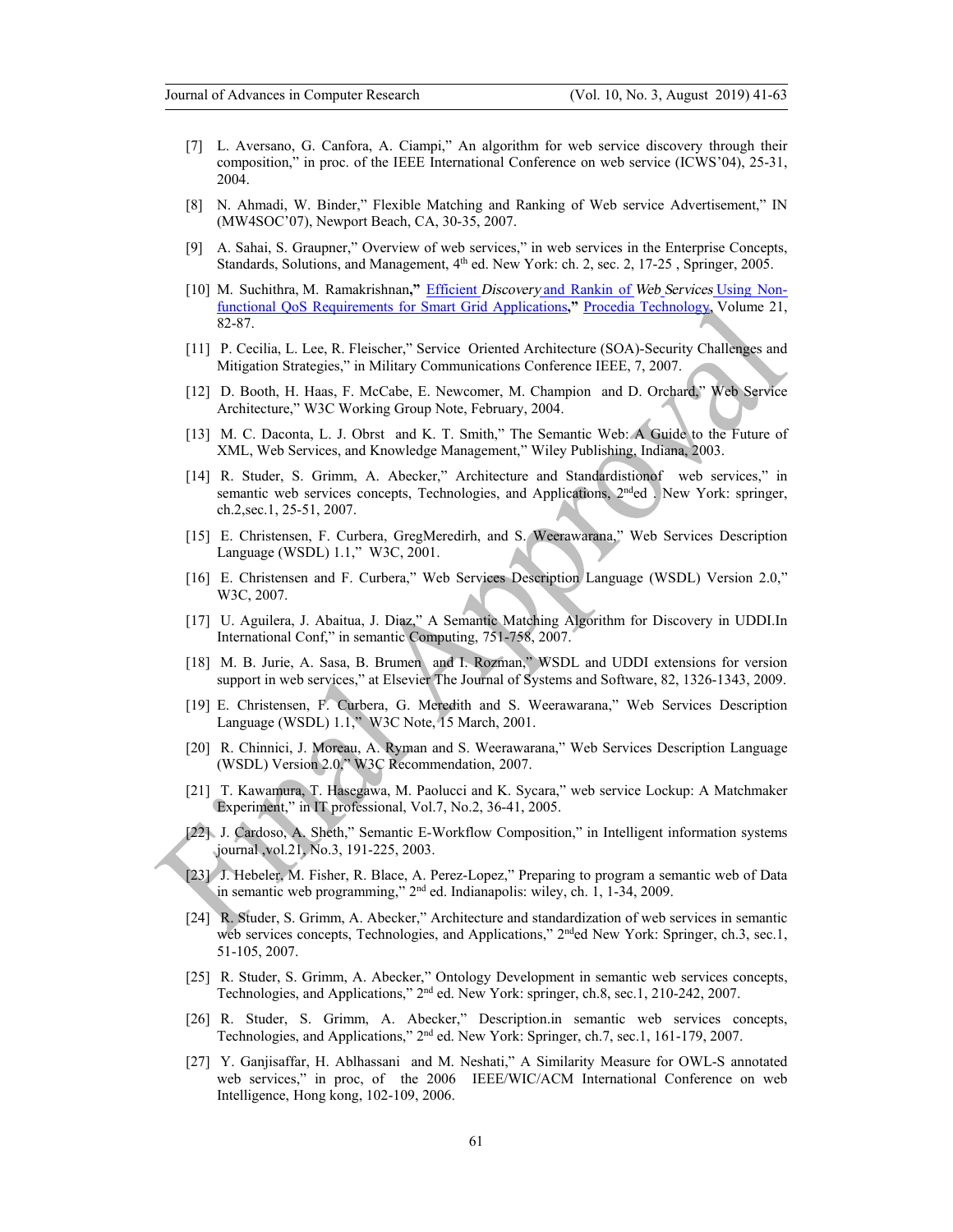- [7] L. Aversano, G. Canfora, A. Ciampi," An algorithm for web service discovery through their composition," in proc. of the IEEE International Conference on web service (ICWS'04), 25-31, 2004.
- [8] N. Ahmadi, W. Binder," Flexible Matching and Ranking of Web service Advertisement," IN (MW4SOC'07), Newport Beach, CA, 30-35, 2007.
- [9] A. Sahai, S. Graupner," Overview of web services," in web services in the Enterprise Concepts, Standards, Solutions, and Management,  $4<sup>th</sup>$  ed. New York: ch. 2, sec. 2, 17-25, Springer, 2005.
- [10] M. Suchithra, M. Ramakrishnan**,"** Efficient *Discovery* and Rankin of *Web Services* Using Nonfunctional QoS Requirements for Smart Grid Applications**,"** Procedia Technology, Volume 21, 82-87.
- [11] P. Cecilia, L. Lee, R. Fleischer," Service Oriented Architecture (SOA)-Security Challenges and Mitigation Strategies," in Military Communications Conference IEEE, 7, 2007.
- [12] D. Booth, H. Haas, F. McCabe, E. Newcomer, M. Champion and D. Orchard," Web Service Architecture," W3C Working Group Note, February, 2004.
- [13] M. C. Daconta, L. J. Obrst and K. T. Smith," The Semantic Web: A Guide to the Future of XML, Web Services, and Knowledge Management," Wiley Publishing, Indiana, 2003.
- [14] R. Studer, S. Grimm, A. Abecker," Architecture and Standardistionof web services," in semantic web services concepts, Technologies, and Applications, 2<sup>nd</sup>ed . New York: springer, ch.2,sec.1, 25-51, 2007.
- [15] E. Christensen, F. Curbera, GregMeredirh, and S. Weerawarana," Web Services Description Language (WSDL) 1.1," W3C, 2001.
- [16] E. Christensen and F. Curbera," Web Services Description Language (WSDL) Version 2.0," W3C, 2007.
- [17] U. Aguilera, J. Abaitua, J. Diaz," A Semantic Matching Algorithm for Discovery in UDDI.In International Conf," in semantic Computing, 751-758, 2007.
- [18] M. B. Jurie, A. Sasa, B. Brumen and I. Rozman," WSDL and UDDI extensions for version support in web services," at Elsevier The Journal of Systems and Software, 82, 1326-1343, 2009.
- [19] E. Christensen, F. Curbera, G. Meredith and S. Weerawarana," Web Services Description Language (WSDL) 1.1," W3C Note, 15 March, 2001.
- [20] R. Chinnici, J. Moreau, A. Ryman and S. Weerawarana," Web Services Description Language (WSDL) Version 2.0," W3C Recommendation, 2007.
- [21] T. Kawamura, T. Hasegawa, M. Paolucci and K. Sycara," web service Lockup: A Matchmaker Experiment," in IT professional, Vol.7, No.2, 36-41, 2005.
- [22] J. Cardoso, A. Sheth," Semantic E-Workflow Composition," in Intelligent information systems journal ,vol.21, No.3, 191-225, 2003.
- [23] J. Hebeler, M. Fisher, R. Blace, A. Perez-Lopez," Preparing to program a semantic web of Data in semantic web programming," 2nd ed. Indianapolis: wiley, ch. 1, 1-34, 2009.
- [24] R. Studer, S. Grimm, A. Abecker," Architecture and standardization of web services in semantic web services concepts, Technologies, and Applications," 2<sup>nd</sup>ed New York: Springer, ch.3, sec.1, 51-105, 2007.
- [25] R. Studer, S. Grimm, A. Abecker," Ontology Development in semantic web services concepts, Technologies, and Applications," 2<sup>nd</sup> ed. New York: springer, ch.8, sec.1, 210-242, 2007.
- [26] R. Studer, S. Grimm, A. Abecker," Description.in semantic web services concepts, Technologies, and Applications," 2nd ed. New York: Springer, ch.7, sec.1, 161-179, 2007.
- [27] Y. Ganjisaffar, H. Ablhassani and M. Neshati," A Similarity Measure for OWL-S annotated web services," in proc, of the 2006 IEEE/WIC/ACM International Conference on web Intelligence, Hong kong, 102-109, 2006.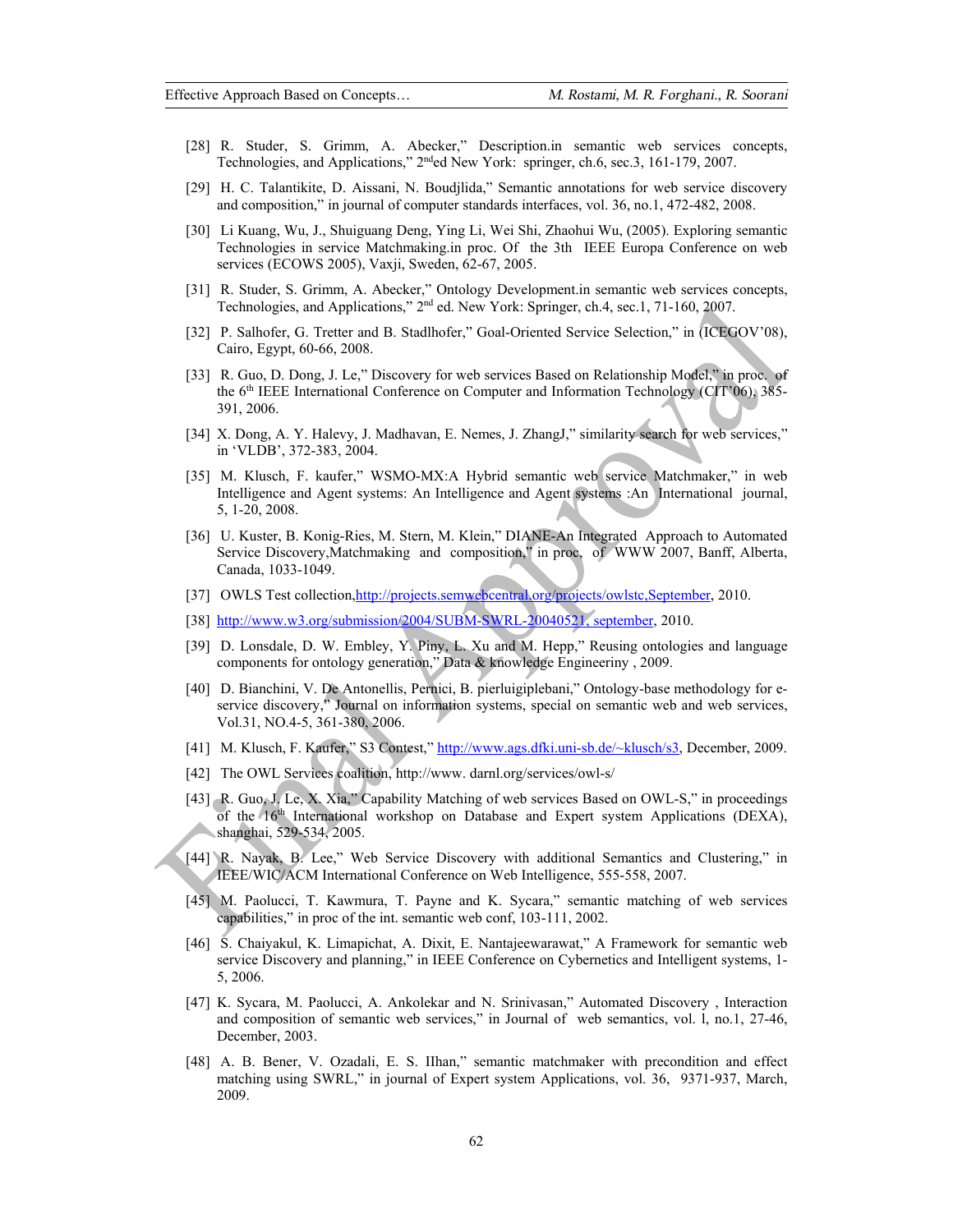- [28] R. Studer, S. Grimm, A. Abecker," Description.in semantic web services concepts, Technologies, and Applications," 2<sup>nd</sup>ed New York: springer, ch.6, sec.3, 161-179, 2007.
- [29] H. C. Talantikite, D. Aissani, N. Boudjlida," Semantic annotations for web service discovery and composition," in journal of computer standards interfaces, vol. 36, no.1, 472-482, 2008.
- [30] Li Kuang, Wu, J., Shuiguang Deng, Ying Li, Wei Shi, Zhaohui Wu, (2005). Exploring semantic Technologies in service Matchmaking.in proc. Of the 3th IEEE Europa Conference on web services (ECOWS 2005), Vaxji, Sweden, 62-67, 2005.
- [31] R. Studer, S. Grimm, A. Abecker," Ontology Development.in semantic web services concepts, Technologies, and Applications," 2nd ed. New York: Springer, ch.4, sec.1, 71-160, 2007.
- [32] P. Salhofer, G. Tretter and B. Stadlhofer," Goal-Oriented Service Selection," in (ICEGOV'08), Cairo, Egypt, 60-66, 2008.
- [33] R. Guo, D. Dong, J. Le," Discovery for web services Based on Relationship Model," in proc. of the 6<sup>th</sup> IEEE International Conference on Computer and Information Technology (CIT'06), 385-391, 2006.
- [34] X. Dong, A. Y. Halevy, J. Madhavan, E. Nemes, J. ZhangJ," similarity search for web services," in 'VLDB', 372-383, 2004.
- [35] M. Klusch, F. kaufer," WSMO-MX:A Hybrid semantic web service Matchmaker," in web Intelligence and Agent systems: An Intelligence and Agent systems :An International journal, 5, 1-20, 2008.
- [36] U. Kuster, B. Konig-Ries, M. Stern, M. Klein," DIANE-An Integrated Approach to Automated Service Discovery,Matchmaking and composition," in proc, of WWW 2007, Banff, Alberta, Canada, 1033-1049.
- [37] OWLS Test collection,http://projects.semwebcentral.org/projects/owlstc,September, 2010.
- [38] http://www.w3.org/submission/2004/SUBM-SWRL-20040521, september, 2010.
- [39] D. Lonsdale, D. W. Embley, Y. Piny, L. Xu and M. Hepp," Reusing ontologies and language components for ontology generation," Data & knowledge Engineeriny , 2009.
- [40] D. Bianchini, V. De Antonellis, Pernici, B. pierluigiplebani," Ontology-base methodology for eservice discovery," Journal on information systems, special on semantic web and web services, Vol.31, NO.4-5, 361-380, 2006.
- [41] M. Klusch, F. Kaufer," S3 Contest," http://www.ags.dfki.uni-sb.de/~klusch/s3, December, 2009.
- [42] The OWL Services coalition, http://www.darnl.org/services/owl-s/
- [43] R. Guo, J. Le, X. Xia," Capability Matching of web services Based on OWL-S," in proceedings of the 16th International workshop on Database and Expert system Applications (DEXA), shanghai, 529-534, 2005.
- [44] R. Nayak, B. Lee," Web Service Discovery with additional Semantics and Clustering," in IEEE/WIC/ACM International Conference on Web Intelligence, 555-558, 2007.
- [45] M. Paolucci, T. Kawmura, T. Payne and K. Sycara," semantic matching of web services capabilities," in proc of the int. semantic web conf, 103-111, 2002.
- [46] S. Chaiyakul, K. Limapichat, A. Dixit, E. Nantajeewarawat," A Framework for semantic web service Discovery and planning," in IEEE Conference on Cybernetics and Intelligent systems, 1- 5, 2006.
- [47] K. Sycara, M. Paolucci, A. Ankolekar and N. Srinivasan," Automated Discovery , Interaction and composition of semantic web services," in Journal of web semantics, vol. l, no.1, 27-46, December, 2003.
- [48] A. B. Bener, V. Ozadali, E. S. IIhan," semantic matchmaker with precondition and effect matching using SWRL," in journal of Expert system Applications, vol. 36, 9371-937, March, 2009.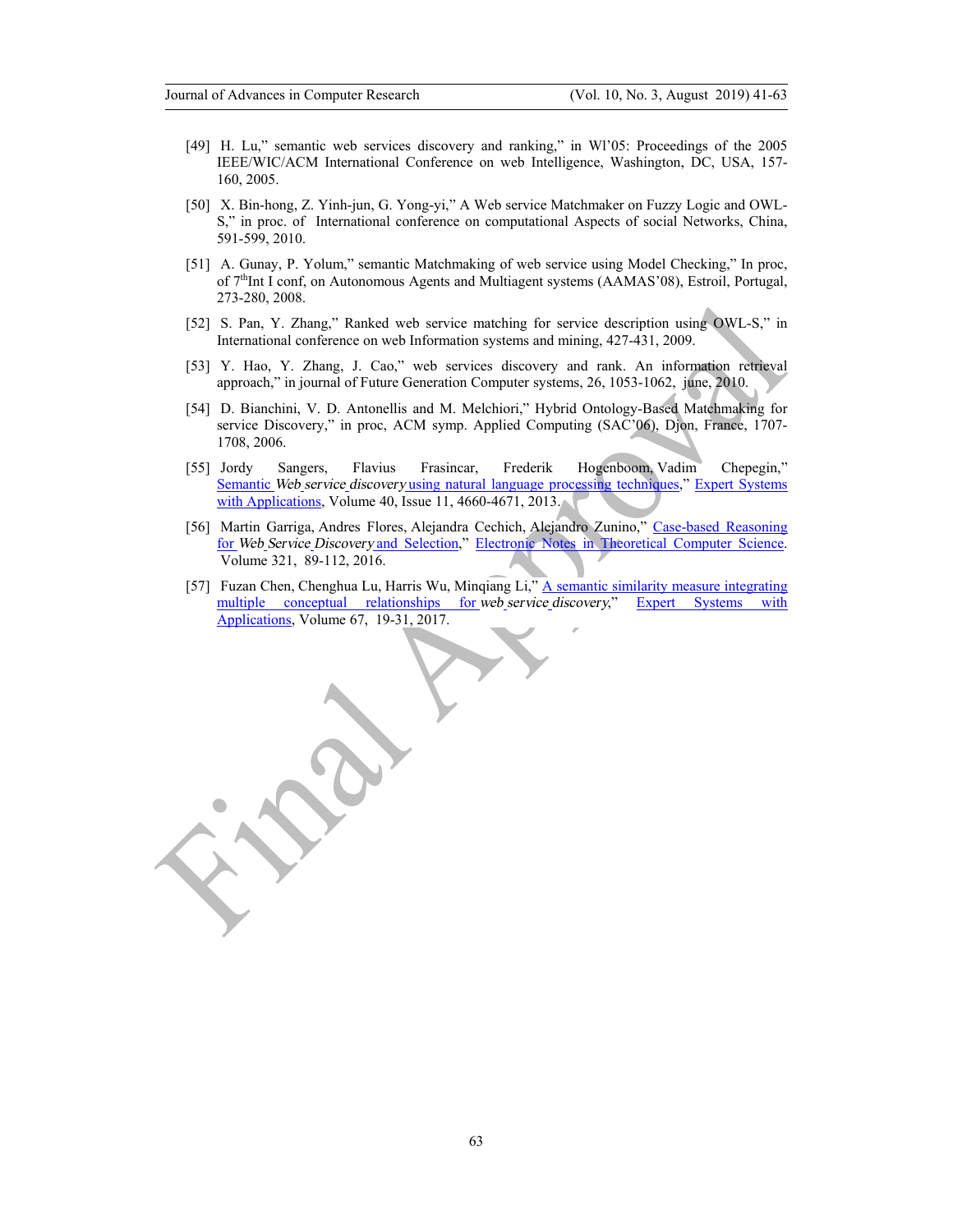- [49] H. Lu," semantic web services discovery and ranking," in Wl'05: Proceedings of the 2005 IEEE/WIC/ACM International Conference on web Intelligence, Washington, DC, USA, 157- 160, 2005.
- [50] X. Bin-hong, Z. Yinh-jun, G. Yong-yi," A Web service Matchmaker on Fuzzy Logic and OWL-S," in proc. of International conference on computational Aspects of social Networks, China, 591-599, 2010.
- [51] A. Gunay, P. Yolum," semantic Matchmaking of web service using Model Checking," In proc, of 7<sup>th</sup>Int I conf, on Autonomous Agents and Multiagent systems (AAMAS'08), Estroil, Portugal, 273-280, 2008.
- [52] S. Pan, Y. Zhang," Ranked web service matching for service description using OWL-S," in International conference on web Information systems and mining, 427-431, 2009.
- [53] Y. Hao, Y. Zhang, J. Cao," web services discovery and rank. An information retrieval approach," in journal of Future Generation Computer systems, 26, 1053-1062, june, 2010.
- [54] D. Bianchini, V. D. Antonellis and M. Melchiori," Hybrid Ontology-Based Matchmaking for service Discovery," in proc, ACM symp. Applied Computing (SAC'06), Djon, France, 1707- 1708, 2006.
- [55] Jordy Sangers, Flavius Frasincar, Frederik Hogenboom, Vadim Chepegin," Semantic *Web service discovery* using natural language processing techniques," Expert Systems with Applications, Volume 40, Issue 11, 4660-4671, 2013.
- [56] Martin Garriga, Andres Flores, Alejandra Cechich, Alejandro Zunino," Case-based Reasoning for *Web Service Discovery* and Selection," Electronic Notes in Theoretical Computer Science. Volume 321, 89-112, 2016.
- [57] Fuzan Chen, Chenghua Lu, Harris Wu, Minqiang Li," A semantic similarity measure integrating multiple conceptual relationships for *web service discovery*," Expert Systems with Applications, Volume 67, 19-31, 2017.